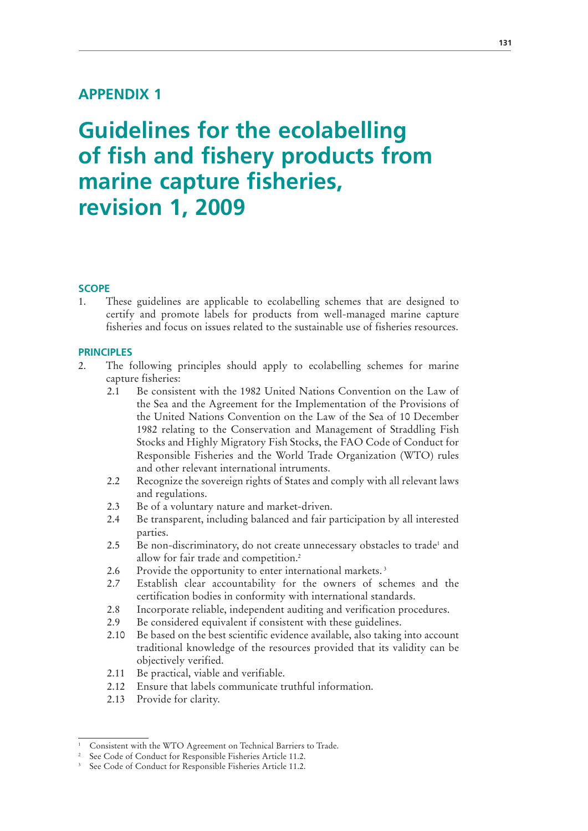# **APPENDIX 1**

# **Guidelines for the ecolabelling of fish and fishery products from marine capture fisheries, revision 1, 2009**

#### **SCOPE**

1. These guidelines are applicable to ecolabelling schemes that are designed to certify and promote labels for products from well-managed marine capture fisheries and focus on issues related to the sustainable use of fisheries resources.

## **PRINCIPLES**

- 2. The following principles should apply to ecolabelling schemes for marine capture fisheries:
	- 2.1 Be consistent with the 1982 United Nations Convention on the Law of the Sea and the Agreement for the Implementation of the Provisions of the United Nations Convention on the Law of the Sea of 10 December 1982 relating to the Conservation and Management of Straddling Fish Stocks and Highly Migratory Fish Stocks, the FAO Code of Conduct for Responsible Fisheries and the World Trade Organization (WTO) rules and other relevant international intruments.
	- 2.2 Recognize the sovereign rights of States and comply with all relevant laws and regulations.
	- 2.3 Be of a voluntary nature and market-driven.
	- 2.4 Be transparent, including balanced and fair participation by all interested parties.
	- 2.5 Be non-discriminatory, do not create unnecessary obstacles to trade<sup>1</sup> and allow for fair trade and competition.2
	- 2.6 Provide the opportunity to enter international markets.<sup>3</sup>
	- 2.7 Establish clear accountability for the owners of schemes and the certification bodies in conformity with international standards.
	- 2.8 Incorporate reliable, independent auditing and verification procedures.
	- 2.9 Be considered equivalent if consistent with these guidelines.
	- 2.10 Be based on the best scientific evidence available, also taking into account traditional knowledge of the resources provided that its validity can be objectively verified.
	- 2.11 Be practical, viable and verifiable.
	- 2.12 Ensure that labels communicate truthful information.
	- 2.13 Provide for clarity.

<sup>1</sup> Consistent with the WTO Agreement on Technical Barriers to Trade.

<sup>2</sup> See Code of Conduct for Responsible Fisheries Article 11.2.

<sup>3</sup> See Code of Conduct for Responsible Fisheries Article 11.2.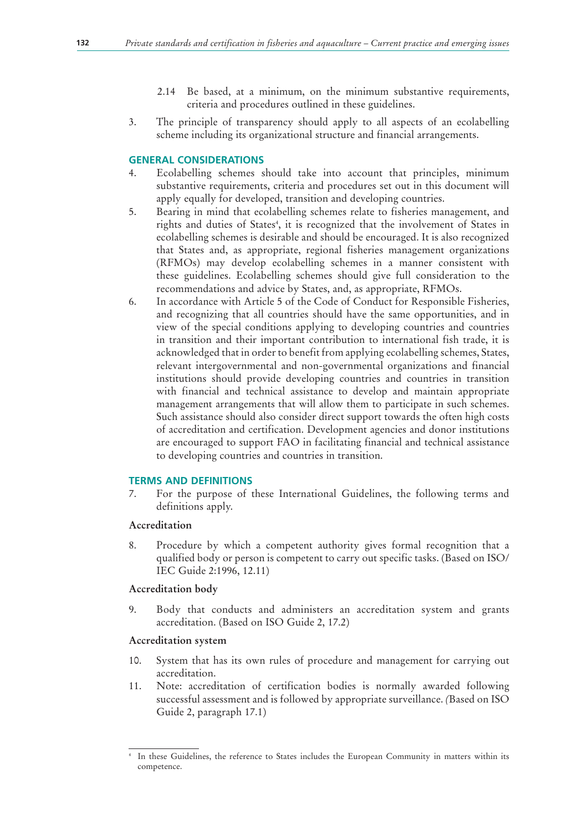- 2.14 Be based, at a minimum, on the minimum substantive requirements, criteria and procedures outlined in these guidelines.
- 3. The principle of transparency should apply to all aspects of an ecolabelling scheme including its organizational structure and financial arrangements.

#### **GENERAL CONSIDERATIONS**

- 4. Ecolabelling schemes should take into account that principles, minimum substantive requirements, criteria and procedures set out in this document will apply equally for developed, transition and developing countries.
- 5. Bearing in mind that ecolabelling schemes relate to fisheries management, and rights and duties of States<sup>4</sup>, it is recognized that the involvement of States in ecolabelling schemes is desirable and should be encouraged. It is also recognized that States and, as appropriate, regional fisheries management organizations (RFMOs) may develop ecolabelling schemes in a manner consistent with these guidelines. Ecolabelling schemes should give full consideration to the recommendations and advice by States, and, as appropriate, RFMOs.
- 6. In accordance with Article 5 of the Code of Conduct for Responsible Fisheries, and recognizing that all countries should have the same opportunities, and in view of the special conditions applying to developing countries and countries in transition and their important contribution to international fish trade, it is acknowledged that in order to benefit from applying ecolabelling schemes, States, relevant intergovernmental and non-governmental organizations and financial institutions should provide developing countries and countries in transition with financial and technical assistance to develop and maintain appropriate management arrangements that will allow them to participate in such schemes. Such assistance should also consider direct support towards the often high costs of accreditation and certification. Development agencies and donor institutions are encouraged to support FAO in facilitating financial and technical assistance to developing countries and countries in transition.

#### **TERMS AND DEFINITIONS**

7. For the purpose of these International Guidelines, the following terms and definitions apply.

#### **Accreditation**

8. Procedure by which a competent authority gives formal recognition that a qualified body or person is competent to carry out specific tasks. (Based on ISO/ IEC Guide 2:1996, 12.11)

#### **Accreditation body**

9. Body that conducts and administers an accreditation system and grants accreditation. (Based on ISO Guide 2, 17.2)

#### **Accreditation system**

- 10. System that has its own rules of procedure and management for carrying out accreditation.
- 11. Note: accreditation of certification bodies is normally awarded following successful assessment and is followed by appropriate surveillance. *(*Based on ISO Guide 2, paragraph 17.1)

<sup>4</sup> In these Guidelines, the reference to States includes the European Community in matters within its competence.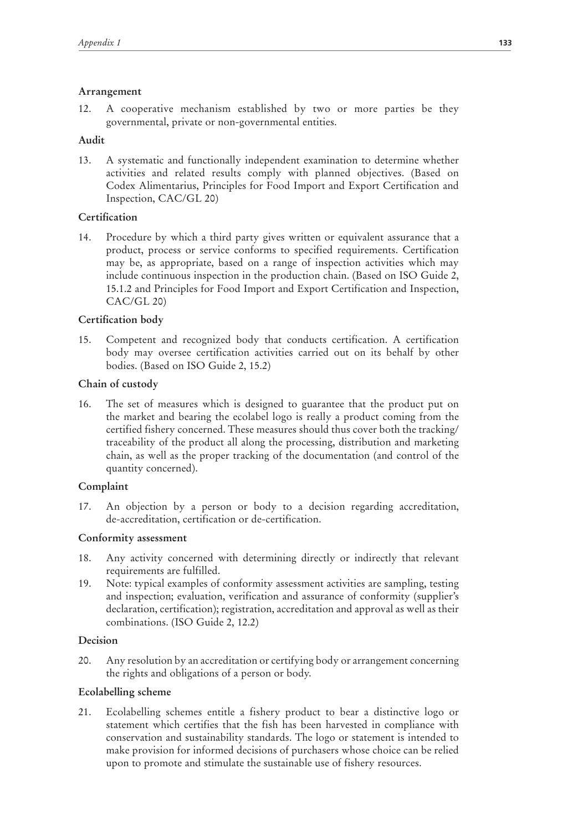# **Arrangement**

12. A cooperative mechanism established by two or more parties be they governmental, private or non-governmental entities.

# **Audit**

13. A systematic and functionally independent examination to determine whether activities and related results comply with planned objectives. (Based on Codex Alimentarius, Principles for Food Import and Export Certification and Inspection, CAC/GL 20)

# **Certification**

14. Procedure by which a third party gives written or equivalent assurance that a product, process or service conforms to specified requirements. Certification may be, as appropriate, based on a range of inspection activities which may include continuous inspection in the production chain. (Based on ISO Guide 2, 15.1.2 and Principles for Food Import and Export Certification and Inspection, CAC/GL 20)

# **Certification body**

15. Competent and recognized body that conducts certification. A certification body may oversee certification activities carried out on its behalf by other bodies. (Based on ISO Guide 2, 15.2)

# **Chain of custody**

16. The set of measures which is designed to guarantee that the product put on the market and bearing the ecolabel logo is really a product coming from the certified fishery concerned. These measures should thus cover both the tracking/ traceability of the product all along the processing, distribution and marketing chain, as well as the proper tracking of the documentation (and control of the quantity concerned).

# **Complaint**

17. An objection by a person or body to a decision regarding accreditation, de-accreditation, certification or de-certification.

# **Conformity assessment**

- 18. Any activity concerned with determining directly or indirectly that relevant requirements are fulfilled.
- 19. Note: typical examples of conformity assessment activities are sampling, testing and inspection; evaluation, verification and assurance of conformity (supplier's declaration, certification); registration, accreditation and approval as well as their combinations. (ISO Guide 2, 12.2)

# **Decision**

20. Any resolution by an accreditation or certifying body or arrangement concerning the rights and obligations of a person or body.

# **Ecolabelling scheme**

21. Ecolabelling schemes entitle a fishery product to bear a distinctive logo or statement which certifies that the fish has been harvested in compliance with conservation and sustainability standards. The logo or statement is intended to make provision for informed decisions of purchasers whose choice can be relied upon to promote and stimulate the sustainable use of fishery resources.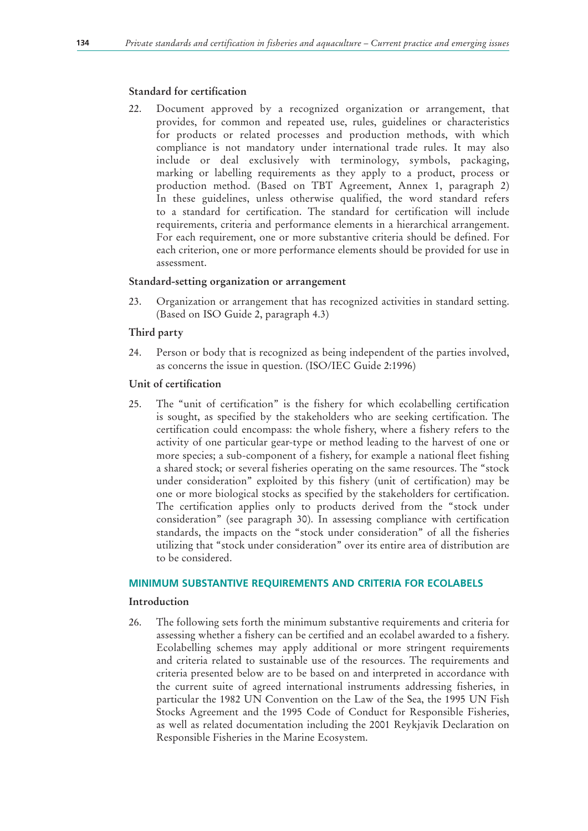### **Standard for certification**

22. Document approved by a recognized organization or arrangement, that provides, for common and repeated use, rules, guidelines or characteristics for products or related processes and production methods, with which compliance is not mandatory under international trade rules. It may also include or deal exclusively with terminology, symbols, packaging, marking or labelling requirements as they apply to a product, process or production method. (Based on TBT Agreement, Annex 1, paragraph 2) In these guidelines, unless otherwise qualified, the word standard refers to a standard for certification. The standard for certification will include requirements, criteria and performance elements in a hierarchical arrangement. For each requirement, one or more substantive criteria should be defined. For each criterion, one or more performance elements should be provided for use in assessment.

#### **Standard-setting organization or arrangement**

Organization or arrangement that has recognized activities in standard setting. (Based on ISO Guide 2, paragraph 4.3)

#### **Third party**

24. Person or body that is recognized as being independent of the parties involved, as concerns the issue in question. (ISO/IEC Guide 2:1996)

#### **Unit of certification**

25. The "unit of certification" is the fishery for which ecolabelling certification is sought, as specified by the stakeholders who are seeking certification. The certification could encompass: the whole fishery, where a fishery refers to the activity of one particular gear-type or method leading to the harvest of one or more species; a sub-component of a fishery, for example a national fleet fishing a shared stock; or several fisheries operating on the same resources. The "stock under consideration" exploited by this fishery (unit of certification) may be one or more biological stocks as specified by the stakeholders for certification. The certification applies only to products derived from the "stock under consideration" (see paragraph 30). In assessing compliance with certification standards, the impacts on the "stock under consideration" of all the fisheries utilizing that "stock under consideration" over its entire area of distribution are to be considered.

#### **MINIMUM SUBSTANTIVE REQUIREMENTS AND CRITERIA FOR ECOLABELS**

#### **Introduction**

26. The following sets forth the minimum substantive requirements and criteria for assessing whether a fishery can be certified and an ecolabel awarded to a fishery. Ecolabelling schemes may apply additional or more stringent requirements and criteria related to sustainable use of the resources. The requirements and criteria presented below are to be based on and interpreted in accordance with the current suite of agreed international instruments addressing fisheries, in particular the 1982 UN Convention on the Law of the Sea, the 1995 UN Fish Stocks Agreement and the 1995 Code of Conduct for Responsible Fisheries, as well as related documentation including the 2001 Reykjavik Declaration on Responsible Fisheries in the Marine Ecosystem.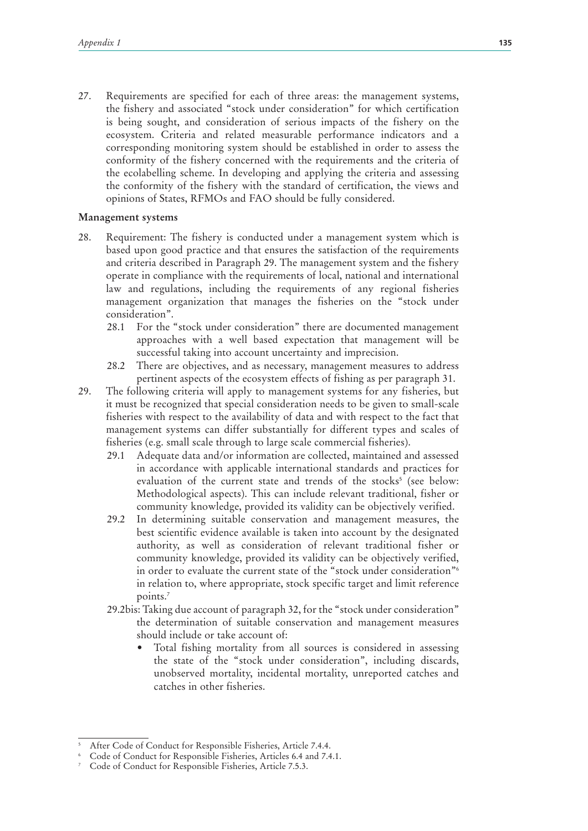27. Requirements are specified for each of three areas: the management systems, the fishery and associated "stock under consideration" for which certification is being sought, and consideration of serious impacts of the fishery on the ecosystem. Criteria and related measurable performance indicators and a corresponding monitoring system should be established in order to assess the conformity of the fishery concerned with the requirements and the criteria of the ecolabelling scheme. In developing and applying the criteria and assessing the conformity of the fishery with the standard of certification, the views and opinions of States, RFMOs and FAO should be fully considered.

#### **Management systems**

- 28. Requirement: The fishery is conducted under a management system which is based upon good practice and that ensures the satisfaction of the requirements and criteria described in Paragraph 29. The management system and the fishery operate in compliance with the requirements of local, national and international law and regulations, including the requirements of any regional fisheries management organization that manages the fisheries on the "stock under consideration".
	- 28.1 For the "stock under consideration" there are documented management approaches with a well based expectation that management will be successful taking into account uncertainty and imprecision.
	- 28.2 There are objectives, and as necessary, management measures to address pertinent aspects of the ecosystem effects of fishing as per paragraph 31.
- 29. The following criteria will apply to management systems for any fisheries, but it must be recognized that special consideration needs to be given to small-scale fisheries with respect to the availability of data and with respect to the fact that management systems can differ substantially for different types and scales of fisheries (e.g. small scale through to large scale commercial fisheries).
	- 29.1 Adequate data and/or information are collected, maintained and assessed in accordance with applicable international standards and practices for evaluation of the current state and trends of the stocks<sup>5</sup> (see below: Methodological aspects). This can include relevant traditional, fisher or community knowledge, provided its validity can be objectively verified.
	- 29.2 In determining suitable conservation and management measures, the best scientific evidence available is taken into account by the designated authority, as well as consideration of relevant traditional fisher or community knowledge, provided its validity can be objectively verified, in order to evaluate the current state of the "stock under consideration"<sup>6</sup> in relation to, where appropriate, stock specific target and limit reference points.7
	- 29.2bis: Taking due account of paragraph 32, for the "stock under consideration" the determination of suitable conservation and management measures should include or take account of:
		- Total fishing mortality from all sources is considered in assessing the state of the "stock under consideration", including discards, unobserved mortality, incidental mortality, unreported catches and catches in other fisheries.

After Code of Conduct for Responsible Fisheries, Article 7.4.4.

<sup>6</sup> Code of Conduct for Responsible Fisheries, Articles 6.4 and 7.4.1.

Code of Conduct for Responsible Fisheries, Article 7.5.3.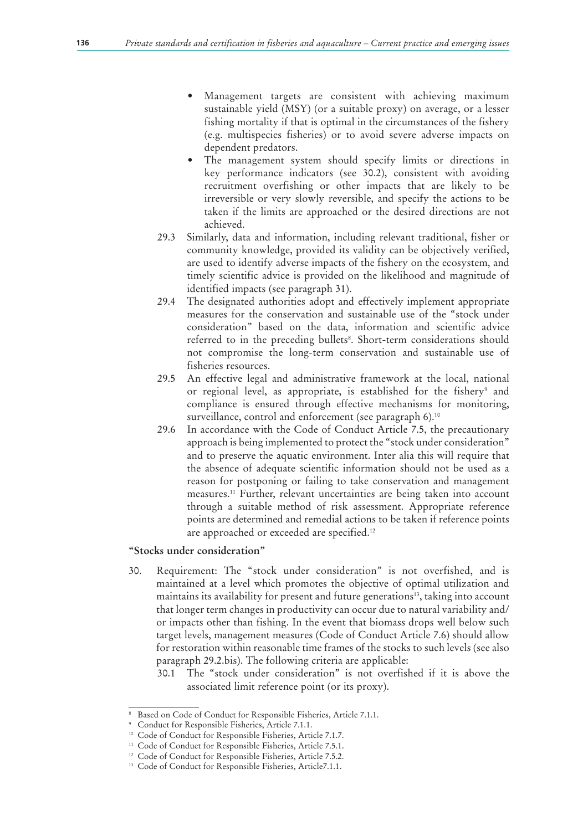- Management targets are consistent with achieving maximum sustainable yield (MSY) (or a suitable proxy) on average, or a lesser fishing mortality if that is optimal in the circumstances of the fishery (e.g. multispecies fisheries) or to avoid severe adverse impacts on dependent predators.
- The management system should specify limits or directions in key performance indicators (see 30.2), consistent with avoiding recruitment overfishing or other impacts that are likely to be irreversible or very slowly reversible, and specify the actions to be taken if the limits are approached or the desired directions are not achieved.
- 29.3 Similarly, data and information, including relevant traditional, fisher or community knowledge, provided its validity can be objectively verified, are used to identify adverse impacts of the fishery on the ecosystem, and timely scientific advice is provided on the likelihood and magnitude of identified impacts (see paragraph 31).
- 29.4 The designated authorities adopt and effectively implement appropriate measures for the conservation and sustainable use of the "stock under consideration" based on the data, information and scientific advice referred to in the preceding bullets<sup>8</sup>. Short-term considerations should not compromise the long-term conservation and sustainable use of fisheries resources.
- 29.5 An effective legal and administrative framework at the local, national or regional level, as appropriate, is established for the fishery<sup>9</sup> and compliance is ensured through effective mechanisms for monitoring, surveillance, control and enforcement (see paragraph 6).<sup>10</sup>
- 29.6 In accordance with the Code of Conduct Article 7.5, the precautionary approach is being implemented to protect the "stock under consideration" and to preserve the aquatic environment. Inter alia this will require that the absence of adequate scientific information should not be used as a reason for postponing or failing to take conservation and management measures.11 Further, relevant uncertainties are being taken into account through a suitable method of risk assessment. Appropriate reference points are determined and remedial actions to be taken if reference points are approached or exceeded are specified.12

#### **"Stocks under consideration"**

- 30. Requirement: The "stock under consideration" is not overfished, and is maintained at a level which promotes the objective of optimal utilization and maintains its availability for present and future generations<sup>13</sup>, taking into account that longer term changes in productivity can occur due to natural variability and/ or impacts other than fishing. In the event that biomass drops well below such target levels, management measures (Code of Conduct Article 7.6) should allow for restoration within reasonable time frames of the stocks to such levels (see also paragraph 29.2.bis). The following criteria are applicable:
	- 30.1 The "stock under consideration" is not overfished if it is above the associated limit reference point (or its proxy).

<sup>8</sup> Based on Code of Conduct for Responsible Fisheries, Article 7.1.1.

Conduct for Responsible Fisheries, Article 7.1.1.

<sup>&</sup>lt;sup>10</sup> Code of Conduct for Responsible Fisheries, Article 7.1.7.

<sup>&</sup>lt;sup>11</sup> Code of Conduct for Responsible Fisheries, Article 7.5.1.

<sup>&</sup>lt;sup>12</sup> Code of Conduct for Responsible Fisheries, Article 7.5.2.

<sup>13</sup> Code of Conduct for Responsible Fisheries, Article7.1.1.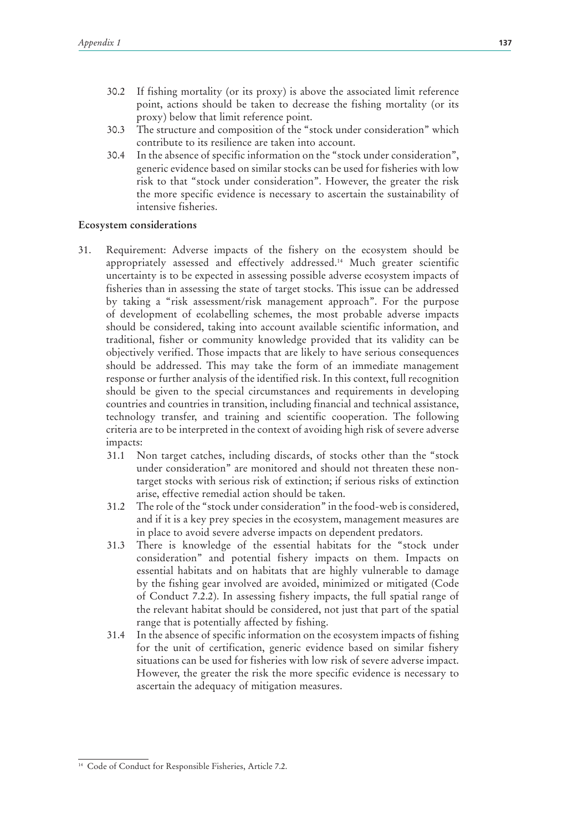- 30.2 If fishing mortality (or its proxy) is above the associated limit reference point, actions should be taken to decrease the fishing mortality (or its proxy) below that limit reference point.
- 30.3 The structure and composition of the "stock under consideration" which contribute to its resilience are taken into account.
- 30.4 In the absence of specific information on the "stock under consideration", generic evidence based on similar stocks can be used for fisheries with low risk to that "stock under consideration". However, the greater the risk the more specific evidence is necessary to ascertain the sustainability of intensive fisheries.

## **Ecosystem considerations**

- 31. Requirement: Adverse impacts of the fishery on the ecosystem should be appropriately assessed and effectively addressed.14 Much greater scientific uncertainty is to be expected in assessing possible adverse ecosystem impacts of fisheries than in assessing the state of target stocks. This issue can be addressed by taking a "risk assessment/risk management approach". For the purpose of development of ecolabelling schemes, the most probable adverse impacts should be considered, taking into account available scientific information, and traditional, fisher or community knowledge provided that its validity can be objectively verified. Those impacts that are likely to have serious consequences should be addressed. This may take the form of an immediate management response or further analysis of the identified risk. In this context, full recognition should be given to the special circumstances and requirements in developing countries and countries in transition, including financial and technical assistance, technology transfer, and training and scientific cooperation. The following criteria are to be interpreted in the context of avoiding high risk of severe adverse impacts:
	- 31.1 Non target catches, including discards, of stocks other than the "stock under consideration" are monitored and should not threaten these nontarget stocks with serious risk of extinction; if serious risks of extinction arise, effective remedial action should be taken.
	- 31.2 The role of the "stock under consideration" in the food-web is considered, and if it is a key prey species in the ecosystem, management measures are in place to avoid severe adverse impacts on dependent predators.
	- 31.3 There is knowledge of the essential habitats for the "stock under consideration" and potential fishery impacts on them. Impacts on essential habitats and on habitats that are highly vulnerable to damage by the fishing gear involved are avoided, minimized or mitigated (Code of Conduct 7.2.2). In assessing fishery impacts, the full spatial range of the relevant habitat should be considered, not just that part of the spatial range that is potentially affected by fishing.
	- 31.4 In the absence of specific information on the ecosystem impacts of fishing for the unit of certification, generic evidence based on similar fishery situations can be used for fisheries with low risk of severe adverse impact. However, the greater the risk the more specific evidence is necessary to ascertain the adequacy of mitigation measures.

<sup>14</sup> Code of Conduct for Responsible Fisheries, Article 7.2.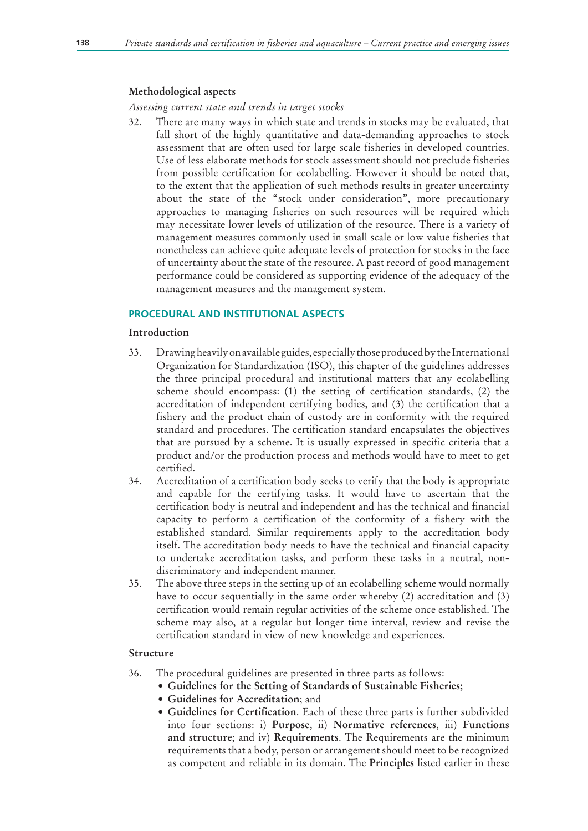#### **Methodological aspects**

#### *Assessing current state and trends in target stocks*

32. There are many ways in which state and trends in stocks may be evaluated, that fall short of the highly quantitative and data-demanding approaches to stock assessment that are often used for large scale fisheries in developed countries. Use of less elaborate methods for stock assessment should not preclude fisheries from possible certification for ecolabelling. However it should be noted that, to the extent that the application of such methods results in greater uncertainty about the state of the "stock under consideration", more precautionary approaches to managing fisheries on such resources will be required which may necessitate lower levels of utilization of the resource. There is a variety of management measures commonly used in small scale or low value fisheries that nonetheless can achieve quite adequate levels of protection for stocks in the face of uncertainty about the state of the resource. A past record of good management performance could be considered as supporting evidence of the adequacy of the management measures and the management system.

#### **PROCEDURAL AND INSTITUTIONAL ASPECTS**

#### **Introduction**

- 33. Drawing heavily on available guides, especially those produced by the International Organization for Standardization (ISO), this chapter of the guidelines addresses the three principal procedural and institutional matters that any ecolabelling scheme should encompass: (1) the setting of certification standards, (2) the accreditation of independent certifying bodies, and (3) the certification that a fishery and the product chain of custody are in conformity with the required standard and procedures. The certification standard encapsulates the objectives that are pursued by a scheme. It is usually expressed in specific criteria that a product and/or the production process and methods would have to meet to get certified.
- 34. Accreditation of a certification body seeks to verify that the body is appropriate and capable for the certifying tasks. It would have to ascertain that the certification body is neutral and independent and has the technical and financial capacity to perform a certification of the conformity of a fishery with the established standard. Similar requirements apply to the accreditation body itself. The accreditation body needs to have the technical and financial capacity to undertake accreditation tasks, and perform these tasks in a neutral, nondiscriminatory and independent manner.
- 35. The above three steps in the setting up of an ecolabelling scheme would normally have to occur sequentially in the same order whereby (2) accreditation and (3) certification would remain regular activities of the scheme once established. The scheme may also, at a regular but longer time interval, review and revise the certification standard in view of new knowledge and experiences.

#### **Structure**

- 36. The procedural guidelines are presented in three parts as follows:
	- **Guidelines for the Setting of Standards of Sustainable Fisheries;**
		- **Guidelines for Accreditation**; and
		- **Guidelines for Certification**. Each of these three parts is further subdivided into four sections: i) **Purpose**, ii) **Normative references**, iii) **Functions and structure**; and iv) **Requirements**. The Requirements are the minimum requirements that a body, person or arrangement should meet to be recognized as competent and reliable in its domain. The **Principles** listed earlier in these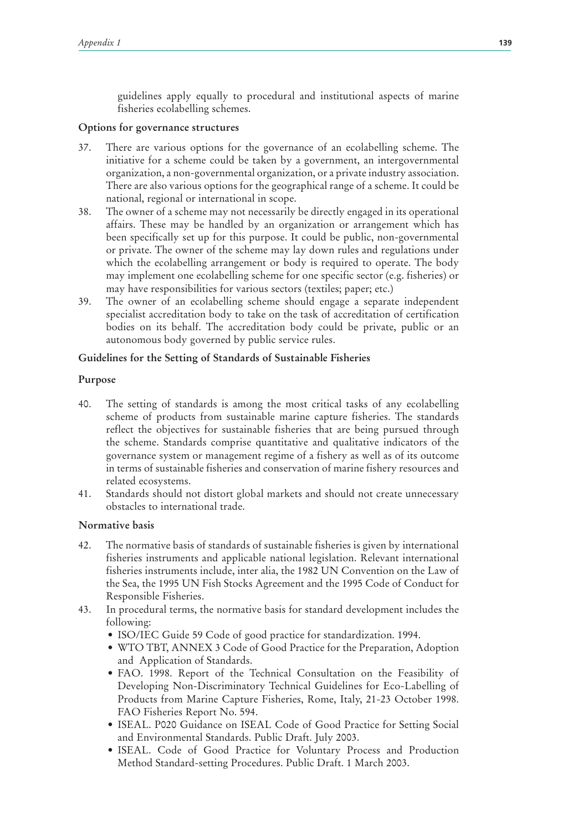guidelines apply equally to procedural and institutional aspects of marine fisheries ecolabelling schemes.

## **Options for governance structures**

- 37. There are various options for the governance of an ecolabelling scheme. The initiative for a scheme could be taken by a government, an intergovernmental organization, a non-governmental organization, or a private industry association. There are also various options for the geographical range of a scheme. It could be national, regional or international in scope.
- 38. The owner of a scheme may not necessarily be directly engaged in its operational affairs. These may be handled by an organization or arrangement which has been specifically set up for this purpose. It could be public, non-governmental or private. The owner of the scheme may lay down rules and regulations under which the ecolabelling arrangement or body is required to operate. The body may implement one ecolabelling scheme for one specific sector (e.g. fisheries) or may have responsibilities for various sectors (textiles; paper; etc.)
- 39. The owner of an ecolabelling scheme should engage a separate independent specialist accreditation body to take on the task of accreditation of certification bodies on its behalf. The accreditation body could be private, public or an autonomous body governed by public service rules.

# **Guidelines for the Setting of Standards of Sustainable Fisheries**

## **Purpose**

- 40. The setting of standards is among the most critical tasks of any ecolabelling scheme of products from sustainable marine capture fisheries. The standards reflect the objectives for sustainable fisheries that are being pursued through the scheme. Standards comprise quantitative and qualitative indicators of the governance system or management regime of a fishery as well as of its outcome in terms of sustainable fisheries and conservation of marine fishery resources and related ecosystems.
- 41. Standards should not distort global markets and should not create unnecessary obstacles to international trade.

# **Normative basis**

- 42. The normative basis of standards of sustainable fisheries is given by international fisheries instruments and applicable national legislation. Relevant international fisheries instruments include, inter alia, the 1982 UN Convention on the Law of the Sea, the 1995 UN Fish Stocks Agreement and the 1995 Code of Conduct for Responsible Fisheries.
- 43. In procedural terms, the normative basis for standard development includes the following:
	- ISO/IEC Guide 59 Code of good practice for standardization. 1994.
	- WTO TBT, ANNEX 3 Code of Good Practice for the Preparation, Adoption and Application of Standards.
	- FAO. 1998. Report of the Technical Consultation on the Feasibility of Developing Non-Discriminatory Technical Guidelines for Eco-Labelling of Products from Marine Capture Fisheries, Rome, Italy, 21-23 October 1998. FAO Fisheries Report No. 594.
	- ISEAL. P020 Guidance on ISEAL Code of Good Practice for Setting Social and Environmental Standards. Public Draft. July 2003.
	- ISEAL. Code of Good Practice for Voluntary Process and Production Method Standard-setting Procedures. Public Draft. 1 March 2003.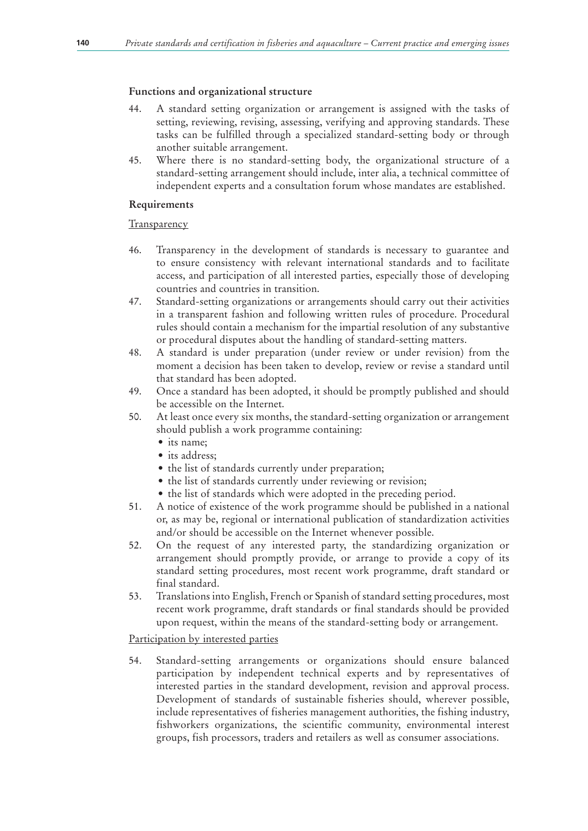#### **Functions and organizational structure**

- 44. A standard setting organization or arrangement is assigned with the tasks of setting, reviewing, revising, assessing, verifying and approving standards. These tasks can be fulfilled through a specialized standard-setting body or through another suitable arrangement.
- 45. Where there is no standard-setting body, the organizational structure of a standard-setting arrangement should include, inter alia, a technical committee of independent experts and a consultation forum whose mandates are established.

#### **Requirements**

#### **Transparency**

- 46. Transparency in the development of standards is necessary to guarantee and to ensure consistency with relevant international standards and to facilitate access, and participation of all interested parties, especially those of developing countries and countries in transition.
- 47. Standard-setting organizations or arrangements should carry out their activities in a transparent fashion and following written rules of procedure. Procedural rules should contain a mechanism for the impartial resolution of any substantive or procedural disputes about the handling of standard-setting matters.
- 48. A standard is under preparation (under review or under revision) from the moment a decision has been taken to develop, review or revise a standard until that standard has been adopted.
- 49. Once a standard has been adopted, it should be promptly published and should be accessible on the Internet.
- 50. At least once every six months, the standard-setting organization or arrangement should publish a work programme containing:
	- its name;
	- its address;
	- the list of standards currently under preparation;
	- the list of standards currently under reviewing or revision;
	- the list of standards which were adopted in the preceding period.
- 51. A notice of existence of the work programme should be published in a national or, as may be, regional or international publication of standardization activities and/or should be accessible on the Internet whenever possible.
- 52. On the request of any interested party, the standardizing organization or arrangement should promptly provide, or arrange to provide a copy of its standard setting procedures, most recent work programme, draft standard or final standard.
- 53. Translations into English, French or Spanish of standard setting procedures, most recent work programme, draft standards or final standards should be provided upon request, within the means of the standard-setting body or arrangement.

#### Participation by interested parties

54. Standard-setting arrangements or organizations should ensure balanced participation by independent technical experts and by representatives of interested parties in the standard development, revision and approval process. Development of standards of sustainable fisheries should, wherever possible, include representatives of fisheries management authorities, the fishing industry, fishworkers organizations, the scientific community, environmental interest groups, fish processors, traders and retailers as well as consumer associations.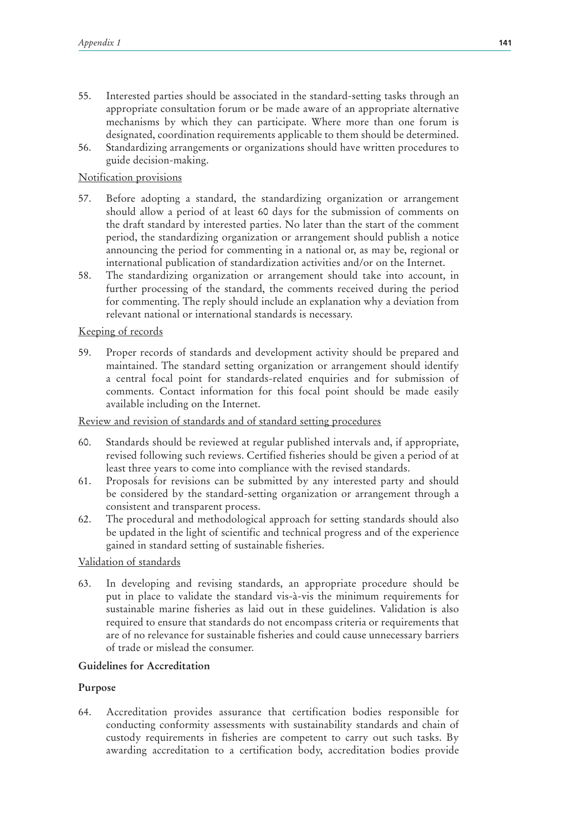- 55. Interested parties should be associated in the standard-setting tasks through an appropriate consultation forum or be made aware of an appropriate alternative mechanisms by which they can participate. Where more than one forum is designated, coordination requirements applicable to them should be determined.
- 56. Standardizing arrangements or organizations should have written procedures to guide decision-making.

# Notification provisions

- 57. Before adopting a standard, the standardizing organization or arrangement should allow a period of at least 60 days for the submission of comments on the draft standard by interested parties. No later than the start of the comment period, the standardizing organization or arrangement should publish a notice announcing the period for commenting in a national or, as may be, regional or international publication of standardization activities and/or on the Internet.
- 58. The standardizing organization or arrangement should take into account, in further processing of the standard, the comments received during the period for commenting. The reply should include an explanation why a deviation from relevant national or international standards is necessary.

# Keeping of records

59. Proper records of standards and development activity should be prepared and maintained. The standard setting organization or arrangement should identify a central focal point for standards-related enquiries and for submission of comments. Contact information for this focal point should be made easily available including on the Internet.

Review and revision of standards and of standard setting procedures

- 60. Standards should be reviewed at regular published intervals and, if appropriate, revised following such reviews. Certified fisheries should be given a period of at least three years to come into compliance with the revised standards.
- 61. Proposals for revisions can be submitted by any interested party and should be considered by the standard-setting organization or arrangement through a consistent and transparent process.
- 62. The procedural and methodological approach for setting standards should also be updated in the light of scientific and technical progress and of the experience gained in standard setting of sustainable fisheries.

## Validation of standards

63. In developing and revising standards, an appropriate procedure should be put in place to validate the standard vis-à-vis the minimum requirements for sustainable marine fisheries as laid out in these guidelines. Validation is also required to ensure that standards do not encompass criteria or requirements that are of no relevance for sustainable fisheries and could cause unnecessary barriers of trade or mislead the consumer.

# **Guidelines for Accreditation**

## **Purpose**

64. Accreditation provides assurance that certification bodies responsible for conducting conformity assessments with sustainability standards and chain of custody requirements in fisheries are competent to carry out such tasks. By awarding accreditation to a certification body, accreditation bodies provide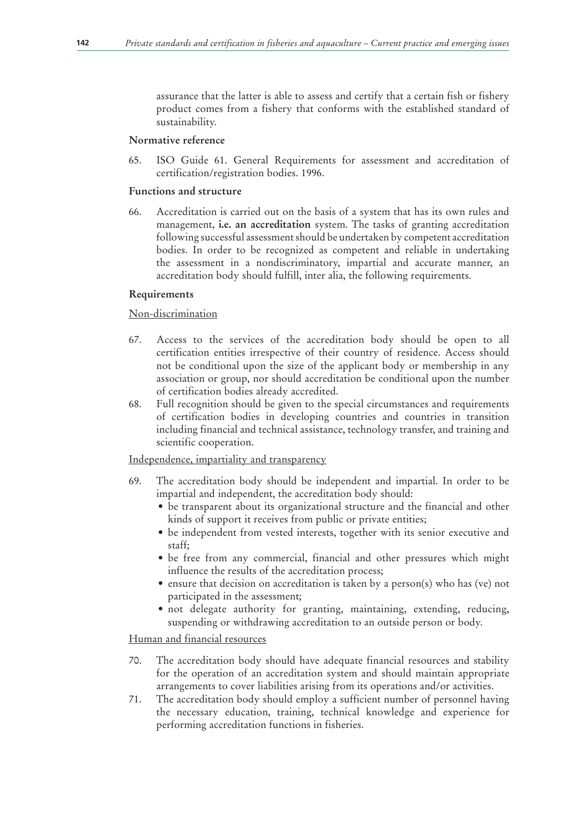assurance that the latter is able to assess and certify that a certain fish or fishery product comes from a fishery that conforms with the established standard of sustainability.

#### **Normative reference**

65. ISO Guide 61. General Requirements for assessment and accreditation of certification/registration bodies. 1996.

#### **Functions and structure**

66. Accreditation is carried out on the basis of a system that has its own rules and management, **i.e. an accreditation** system. The tasks of granting accreditation following successful assessment should be undertaken by competent accreditation bodies. In order to be recognized as competent and reliable in undertaking the assessment in a nondiscriminatory, impartial and accurate manner, an accreditation body should fulfill, inter alia, the following requirements.

#### **Requirements**

#### Non-discrimination

- 67. Access to the services of the accreditation body should be open to all certification entities irrespective of their country of residence. Access should not be conditional upon the size of the applicant body or membership in any association or group, nor should accreditation be conditional upon the number of certification bodies already accredited.
- 68. Full recognition should be given to the special circumstances and requirements of certification bodies in developing countries and countries in transition including financial and technical assistance, technology transfer, and training and scientific cooperation.

#### Independence, impartiality and transparency

- 69. The accreditation body should be independent and impartial. In order to be impartial and independent, the accreditation body should:
	- be transparent about its organizational structure and the financial and other kinds of support it receives from public or private entities;
	- be independent from vested interests, together with its senior executive and staff;
	- be free from any commercial, financial and other pressures which might influence the results of the accreditation process;
	- ensure that decision on accreditation is taken by a person(s) who has (ve) not participated in the assessment;
	- not delegate authority for granting, maintaining, extending, reducing, suspending or withdrawing accreditation to an outside person or body.

#### Human and financial resources

- 70. The accreditation body should have adequate financial resources and stability for the operation of an accreditation system and should maintain appropriate arrangements to cover liabilities arising from its operations and/or activities.
- 71. The accreditation body should employ a sufficient number of personnel having the necessary education, training, technical knowledge and experience for performing accreditation functions in fisheries.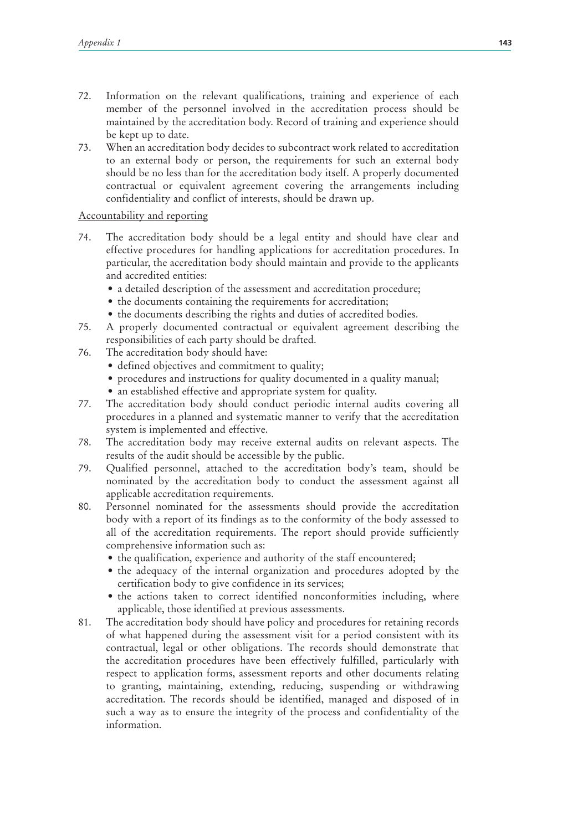- 72. Information on the relevant qualifications, training and experience of each member of the personnel involved in the accreditation process should be maintained by the accreditation body. Record of training and experience should be kept up to date.
- 73. When an accreditation body decides to subcontract work related to accreditation to an external body or person, the requirements for such an external body should be no less than for the accreditation body itself. A properly documented contractual or equivalent agreement covering the arrangements including confidentiality and conflict of interests, should be drawn up.

# Accountability and reporting

- 74. The accreditation body should be a legal entity and should have clear and effective procedures for handling applications for accreditation procedures. In particular, the accreditation body should maintain and provide to the applicants and accredited entities:
	- a detailed description of the assessment and accreditation procedure;
	- the documents containing the requirements for accreditation;
	- the documents describing the rights and duties of accredited bodies.
- 75. A properly documented contractual or equivalent agreement describing the responsibilities of each party should be drafted.
- 76. The accreditation body should have:
	- defined objectives and commitment to quality;
	- procedures and instructions for quality documented in a quality manual;
	- an established effective and appropriate system for quality.
- 77. The accreditation body should conduct periodic internal audits covering all procedures in a planned and systematic manner to verify that the accreditation system is implemented and effective.
- 78. The accreditation body may receive external audits on relevant aspects. The results of the audit should be accessible by the public.
- 79. Qualified personnel, attached to the accreditation body's team, should be nominated by the accreditation body to conduct the assessment against all applicable accreditation requirements.
- 80. Personnel nominated for the assessments should provide the accreditation body with a report of its findings as to the conformity of the body assessed to all of the accreditation requirements. The report should provide sufficiently comprehensive information such as:
	- the qualification, experience and authority of the staff encountered;
	- the adequacy of the internal organization and procedures adopted by the certification body to give confidence in its services;
	- the actions taken to correct identified nonconformities including, where applicable, those identified at previous assessments.
- 81. The accreditation body should have policy and procedures for retaining records of what happened during the assessment visit for a period consistent with its contractual, legal or other obligations. The records should demonstrate that the accreditation procedures have been effectively fulfilled, particularly with respect to application forms, assessment reports and other documents relating to granting, maintaining, extending, reducing, suspending or withdrawing accreditation. The records should be identified, managed and disposed of in such a way as to ensure the integrity of the process and confidentiality of the information.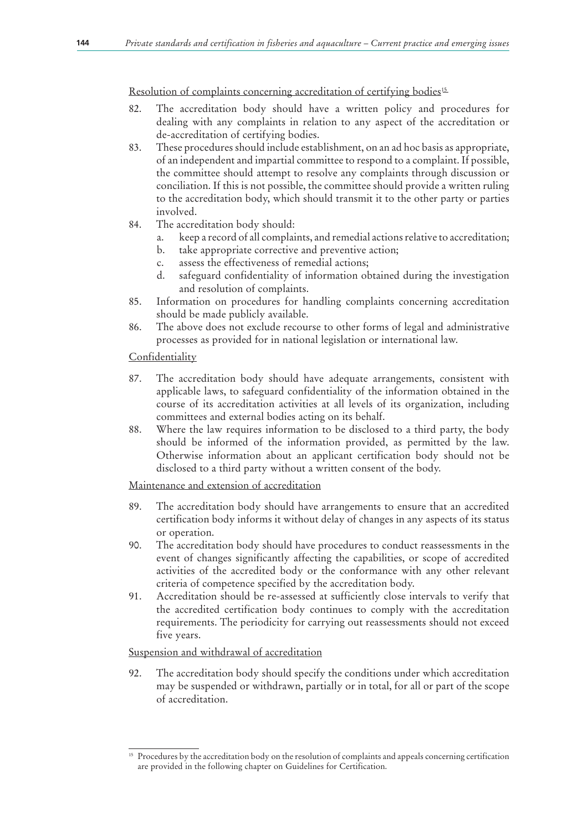Resolution of complaints concerning accreditation of certifying bodies<sup>15</sup>

- 82. The accreditation body should have a written policy and procedures for dealing with any complaints in relation to any aspect of the accreditation or de-accreditation of certifying bodies.
- 83. These procedures should include establishment, on an ad hoc basis as appropriate, of an independent and impartial committee to respond to a complaint. If possible, the committee should attempt to resolve any complaints through discussion or conciliation. If this is not possible, the committee should provide a written ruling to the accreditation body, which should transmit it to the other party or parties involved.
- 84. The accreditation body should:
	- a. keep a record of all complaints, and remedial actions relative to accreditation;
	- b. take appropriate corrective and preventive action;
	- c. assess the effectiveness of remedial actions;
	- d. safeguard confidentiality of information obtained during the investigation and resolution of complaints.
- 85. Information on procedures for handling complaints concerning accreditation should be made publicly available.
- 86. The above does not exclude recourse to other forms of legal and administrative processes as provided for in national legislation or international law.

**Confidentiality** 

- 87. The accreditation body should have adequate arrangements, consistent with applicable laws, to safeguard confidentiality of the information obtained in the course of its accreditation activities at all levels of its organization, including committees and external bodies acting on its behalf.
- 88. Where the law requires information to be disclosed to a third party, the body should be informed of the information provided, as permitted by the law. Otherwise information about an applicant certification body should not be disclosed to a third party without a written consent of the body.

# Maintenance and extension of accreditation

- 89. The accreditation body should have arrangements to ensure that an accredited certification body informs it without delay of changes in any aspects of its status or operation.
- 90. The accreditation body should have procedures to conduct reassessments in the event of changes significantly affecting the capabilities, or scope of accredited activities of the accredited body or the conformance with any other relevant criteria of competence specified by the accreditation body.
- 91. Accreditation should be re-assessed at sufficiently close intervals to verify that the accredited certification body continues to comply with the accreditation requirements. The periodicity for carrying out reassessments should not exceed five years.

# Suspension and withdrawal of accreditation

92. The accreditation body should specify the conditions under which accreditation may be suspended or withdrawn, partially or in total, for all or part of the scope of accreditation.

<sup>15</sup> Procedures by the accreditation body on the resolution of complaints and appeals concerning certification are provided in the following chapter on Guidelines for Certification.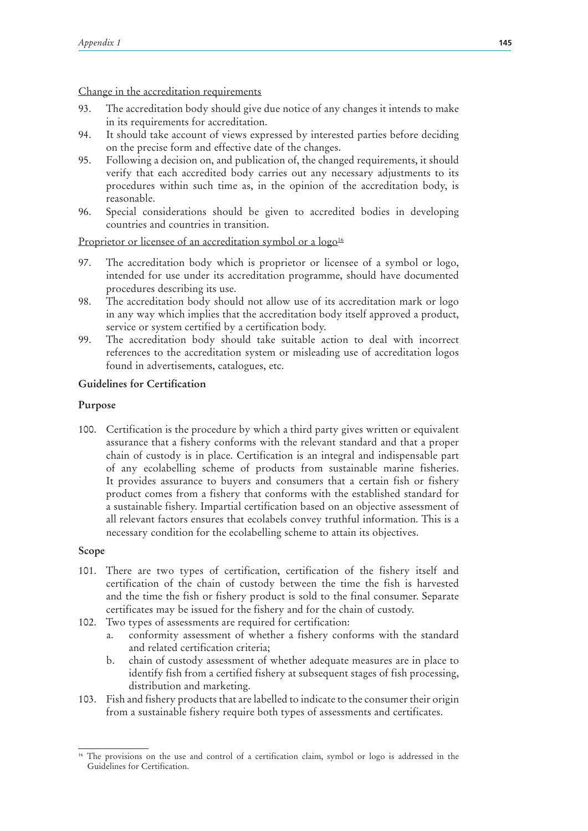# Change in the accreditation requirements

- 93. The accreditation body should give due notice of any changes it intends to make in its requirements for accreditation.
- 94. It should take account of views expressed by interested parties before deciding on the precise form and effective date of the changes.
- 95. Following a decision on, and publication of, the changed requirements, it should verify that each accredited body carries out any necessary adjustments to its procedures within such time as, in the opinion of the accreditation body, is reasonable.
- 96. Special considerations should be given to accredited bodies in developing countries and countries in transition.

## Proprietor or licensee of an accreditation symbol or a logo<sup>16</sup>

- 97. The accreditation body which is proprietor or licensee of a symbol or logo, intended for use under its accreditation programme, should have documented procedures describing its use.
- 98. The accreditation body should not allow use of its accreditation mark or logo in any way which implies that the accreditation body itself approved a product, service or system certified by a certification body.
- 99. The accreditation body should take suitable action to deal with incorrect references to the accreditation system or misleading use of accreditation logos found in advertisements, catalogues, etc.

## **Guidelines for Certification**

## **Purpose**

100. Certification is the procedure by which a third party gives written or equivalent assurance that a fishery conforms with the relevant standard and that a proper chain of custody is in place. Certification is an integral and indispensable part of any ecolabelling scheme of products from sustainable marine fisheries. It provides assurance to buyers and consumers that a certain fish or fishery product comes from a fishery that conforms with the established standard for a sustainable fishery. Impartial certification based on an objective assessment of all relevant factors ensures that ecolabels convey truthful information. This is a necessary condition for the ecolabelling scheme to attain its objectives.

## **Scope**

- 101. There are two types of certification, certification of the fishery itself and certification of the chain of custody between the time the fish is harvested and the time the fish or fishery product is sold to the final consumer. Separate certificates may be issued for the fishery and for the chain of custody.
- 102. Two types of assessments are required for certification:
	- a. conformity assessment of whether a fishery conforms with the standard and related certification criteria;
	- b. chain of custody assessment of whether adequate measures are in place to identify fish from a certified fishery at subsequent stages of fish processing, distribution and marketing.
- 103. Fish and fishery products that are labelled to indicate to the consumer their origin from a sustainable fishery require both types of assessments and certificates.

<sup>16</sup> The provisions on the use and control of a certification claim, symbol or logo is addressed in the Guidelines for Certification.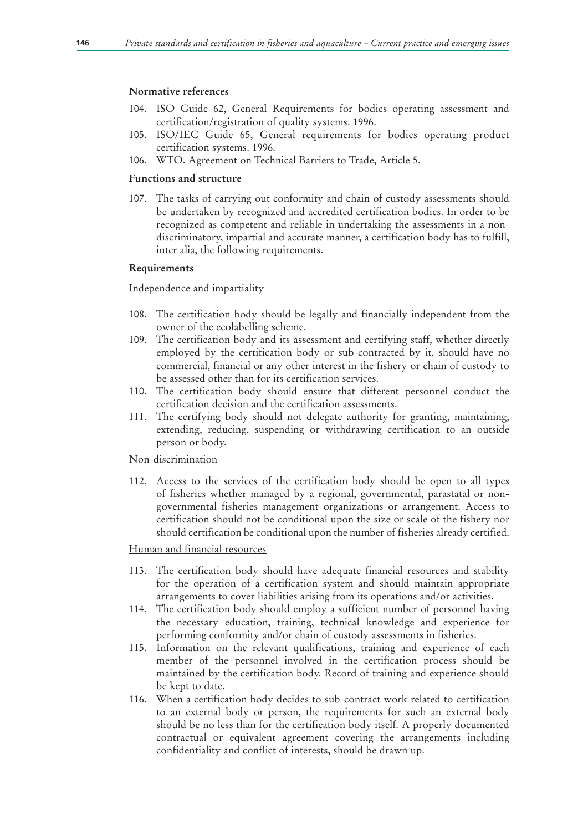#### **Normative references**

- 104. ISO Guide 62, General Requirements for bodies operating assessment and certification/registration of quality systems. 1996.
- 105. ISO/IEC Guide 65, General requirements for bodies operating product certification systems. 1996.
- 106. WTO. Agreement on Technical Barriers to Trade, Article 5.

#### **Functions and structure**

107. The tasks of carrying out conformity and chain of custody assessments should be undertaken by recognized and accredited certification bodies. In order to be recognized as competent and reliable in undertaking the assessments in a nondiscriminatory, impartial and accurate manner, a certification body has to fulfill, inter alia, the following requirements.

#### **Requirements**

#### Independence and impartiality

- 108. The certification body should be legally and financially independent from the owner of the ecolabelling scheme.
- 109. The certification body and its assessment and certifying staff, whether directly employed by the certification body or sub-contracted by it, should have no commercial, financial or any other interest in the fishery or chain of custody to be assessed other than for its certification services.
- 110. The certification body should ensure that different personnel conduct the certification decision and the certification assessments.
- 111. The certifying body should not delegate authority for granting, maintaining, extending, reducing, suspending or withdrawing certification to an outside person or body.

## Non-discrimination

112. Access to the services of the certification body should be open to all types of fisheries whether managed by a regional, governmental, parastatal or nongovernmental fisheries management organizations or arrangement. Access to certification should not be conditional upon the size or scale of the fishery nor should certification be conditional upon the number of fisheries already certified.

## Human and financial resources

- 113. The certification body should have adequate financial resources and stability for the operation of a certification system and should maintain appropriate arrangements to cover liabilities arising from its operations and/or activities.
- 114. The certification body should employ a sufficient number of personnel having the necessary education, training, technical knowledge and experience for performing conformity and/or chain of custody assessments in fisheries.
- 115. Information on the relevant qualifications, training and experience of each member of the personnel involved in the certification process should be maintained by the certification body. Record of training and experience should be kept to date.
- 116. When a certification body decides to sub-contract work related to certification to an external body or person, the requirements for such an external body should be no less than for the certification body itself. A properly documented contractual or equivalent agreement covering the arrangements including confidentiality and conflict of interests, should be drawn up.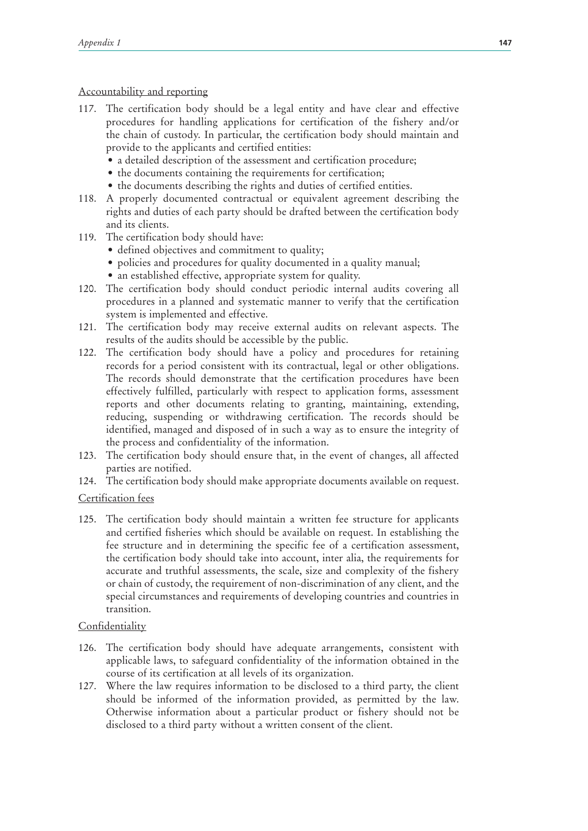# Accountability and reporting

- 117. The certification body should be a legal entity and have clear and effective procedures for handling applications for certification of the fishery and/or the chain of custody. In particular, the certification body should maintain and provide to the applicants and certified entities:
	- a detailed description of the assessment and certification procedure;
	- the documents containing the requirements for certification;
	- the documents describing the rights and duties of certified entities.
- 118. A properly documented contractual or equivalent agreement describing the rights and duties of each party should be drafted between the certification body and its clients.
- 119. The certification body should have:
	- defined objectives and commitment to quality;
	- policies and procedures for quality documented in a quality manual;
	- an established effective, appropriate system for quality.
- 120. The certification body should conduct periodic internal audits covering all procedures in a planned and systematic manner to verify that the certification system is implemented and effective.
- 121. The certification body may receive external audits on relevant aspects. The results of the audits should be accessible by the public.
- 122. The certification body should have a policy and procedures for retaining records for a period consistent with its contractual, legal or other obligations. The records should demonstrate that the certification procedures have been effectively fulfilled, particularly with respect to application forms, assessment reports and other documents relating to granting, maintaining, extending, reducing, suspending or withdrawing certification. The records should be identified, managed and disposed of in such a way as to ensure the integrity of the process and confidentiality of the information.
- 123. The certification body should ensure that, in the event of changes, all affected parties are notified.
- 124. The certification body should make appropriate documents available on request.

# Certification fees

125. The certification body should maintain a written fee structure for applicants and certified fisheries which should be available on request. In establishing the fee structure and in determining the specific fee of a certification assessment, the certification body should take into account, inter alia, the requirements for accurate and truthful assessments, the scale, size and complexity of the fishery or chain of custody, the requirement of non-discrimination of any client, and the special circumstances and requirements of developing countries and countries in transition.

# **Confidentiality**

- 126. The certification body should have adequate arrangements, consistent with applicable laws, to safeguard confidentiality of the information obtained in the course of its certification at all levels of its organization.
- 127. Where the law requires information to be disclosed to a third party, the client should be informed of the information provided, as permitted by the law. Otherwise information about a particular product or fishery should not be disclosed to a third party without a written consent of the client.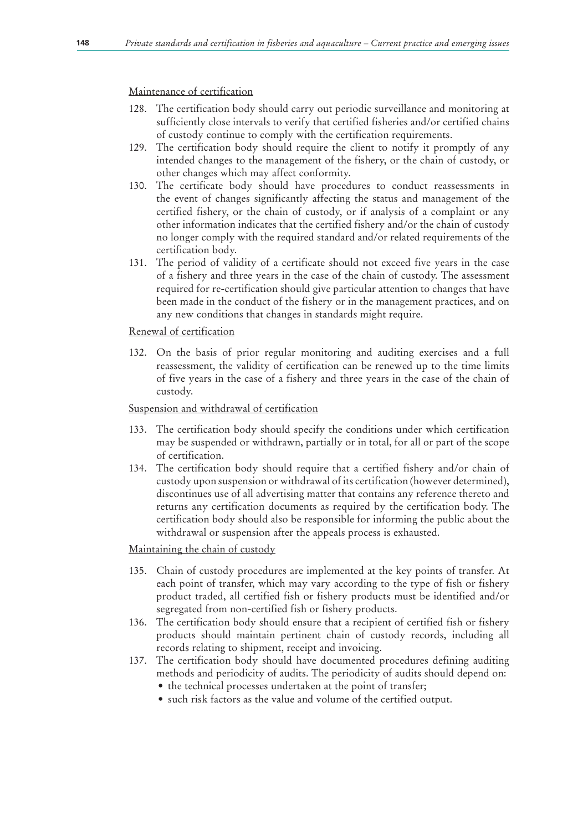## Maintenance of certification

- 128. The certification body should carry out periodic surveillance and monitoring at sufficiently close intervals to verify that certified fisheries and/or certified chains of custody continue to comply with the certification requirements.
- 129. The certification body should require the client to notify it promptly of any intended changes to the management of the fishery, or the chain of custody, or other changes which may affect conformity.
- 130. The certificate body should have procedures to conduct reassessments in the event of changes significantly affecting the status and management of the certified fishery, or the chain of custody, or if analysis of a complaint or any other information indicates that the certified fishery and/or the chain of custody no longer comply with the required standard and/or related requirements of the certification body.
- 131. The period of validity of a certificate should not exceed five years in the case of a fishery and three years in the case of the chain of custody. The assessment required for re-certification should give particular attention to changes that have been made in the conduct of the fishery or in the management practices, and on any new conditions that changes in standards might require.

#### Renewal of certification

132. On the basis of prior regular monitoring and auditing exercises and a full reassessment, the validity of certification can be renewed up to the time limits of five years in the case of a fishery and three years in the case of the chain of custody.

## Suspension and withdrawal of certification

- 133. The certification body should specify the conditions under which certification may be suspended or withdrawn, partially or in total, for all or part of the scope of certification.
- 134. The certification body should require that a certified fishery and/or chain of custody upon suspension or withdrawal of its certification (however determined), discontinues use of all advertising matter that contains any reference thereto and returns any certification documents as required by the certification body. The certification body should also be responsible for informing the public about the withdrawal or suspension after the appeals process is exhausted.

## Maintaining the chain of custody

- 135. Chain of custody procedures are implemented at the key points of transfer. At each point of transfer, which may vary according to the type of fish or fishery product traded, all certified fish or fishery products must be identified and/or segregated from non-certified fish or fishery products.
- 136. The certification body should ensure that a recipient of certified fish or fishery products should maintain pertinent chain of custody records, including all records relating to shipment, receipt and invoicing.
- 137. The certification body should have documented procedures defining auditing methods and periodicity of audits. The periodicity of audits should depend on: • the technical processes undertaken at the point of transfer;
	- such risk factors as the value and volume of the certified output.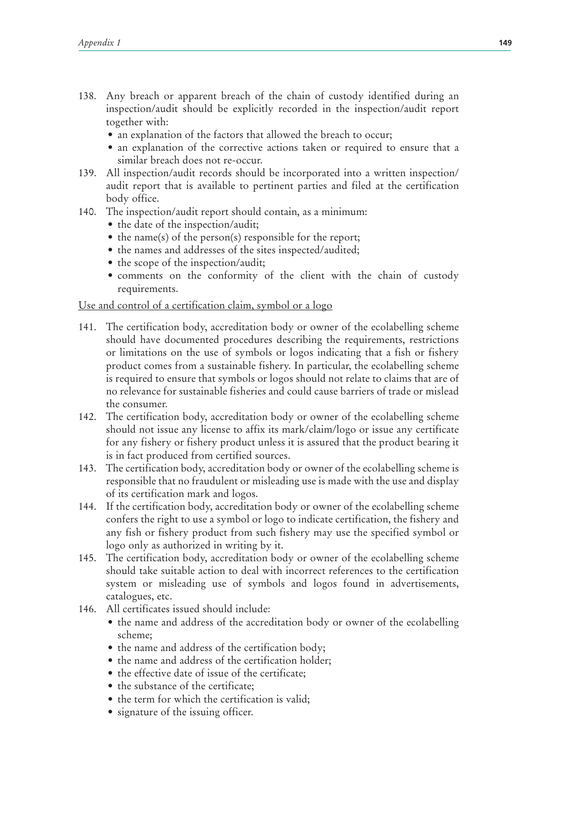- 138. Any breach or apparent breach of the chain of custody identified during an inspection/audit should be explicitly recorded in the inspection/audit report together with:
	- an explanation of the factors that allowed the breach to occur;
	- an explanation of the corrective actions taken or required to ensure that a similar breach does not re-occur.
- 139. All inspection/audit records should be incorporated into a written inspection/ audit report that is available to pertinent parties and filed at the certification body office.
- 140. The inspection/audit report should contain, as a minimum:
	- the date of the inspection/audit;
	- the name(s) of the person(s) responsible for the report;
	- the names and addresses of the sites inspected/audited;
	- the scope of the inspection/audit;
	- comments on the conformity of the client with the chain of custody requirements.

## Use and control of a certification claim, symbol or a logo

- 141. The certification body, accreditation body or owner of the ecolabelling scheme should have documented procedures describing the requirements, restrictions or limitations on the use of symbols or logos indicating that a fish or fishery product comes from a sustainable fishery. In particular, the ecolabelling scheme is required to ensure that symbols or logos should not relate to claims that are of no relevance for sustainable fisheries and could cause barriers of trade or mislead the consumer.
- 142. The certification body, accreditation body or owner of the ecolabelling scheme should not issue any license to affix its mark/claim/logo or issue any certificate for any fishery or fishery product unless it is assured that the product bearing it is in fact produced from certified sources.
- 143. The certification body, accreditation body or owner of the ecolabelling scheme is responsible that no fraudulent or misleading use is made with the use and display of its certification mark and logos.
- 144. If the certification body, accreditation body or owner of the ecolabelling scheme confers the right to use a symbol or logo to indicate certification, the fishery and any fish or fishery product from such fishery may use the specified symbol or logo only as authorized in writing by it.
- 145. The certification body, accreditation body or owner of the ecolabelling scheme should take suitable action to deal with incorrect references to the certification system or misleading use of symbols and logos found in advertisements, catalogues, etc.
- 146. All certificates issued should include:
	- the name and address of the accreditation body or owner of the ecolabelling scheme;
	- the name and address of the certification body;
	- the name and address of the certification holder;
	- the effective date of issue of the certificate;
	- the substance of the certificate;
	- the term for which the certification is valid;
	- signature of the issuing officer.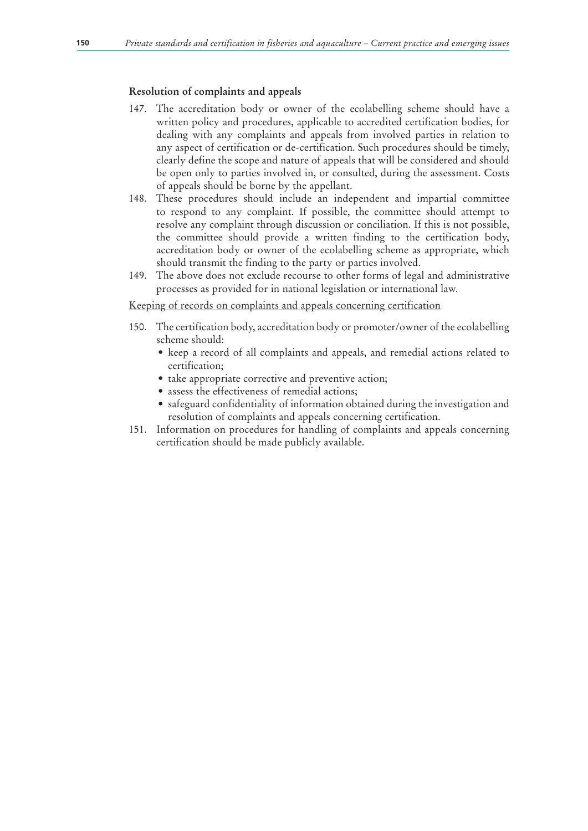### **Resolution of complaints and appeals**

- 147. The accreditation body or owner of the ecolabelling scheme should have a written policy and procedures, applicable to accredited certification bodies, for dealing with any complaints and appeals from involved parties in relation to any aspect of certification or de-certification. Such procedures should be timely, clearly define the scope and nature of appeals that will be considered and should be open only to parties involved in, or consulted, during the assessment. Costs of appeals should be borne by the appellant.
- 148. These procedures should include an independent and impartial committee to respond to any complaint. If possible, the committee should attempt to resolve any complaint through discussion or conciliation. If this is not possible, the committee should provide a written finding to the certification body, accreditation body or owner of the ecolabelling scheme as appropriate, which should transmit the finding to the party or parties involved.
- 149. The above does not exclude recourse to other forms of legal and administrative processes as provided for in national legislation or international law.

Keeping of records on complaints and appeals concerning certification

- 150. The certification body, accreditation body or promoter/owner of the ecolabelling scheme should:
	- keep a record of all complaints and appeals, and remedial actions related to certification;
	- take appropriate corrective and preventive action;
	- assess the effectiveness of remedial actions;
	- safeguard confidentiality of information obtained during the investigation and resolution of complaints and appeals concerning certification.
- 151. Information on procedures for handling of complaints and appeals concerning certification should be made publicly available.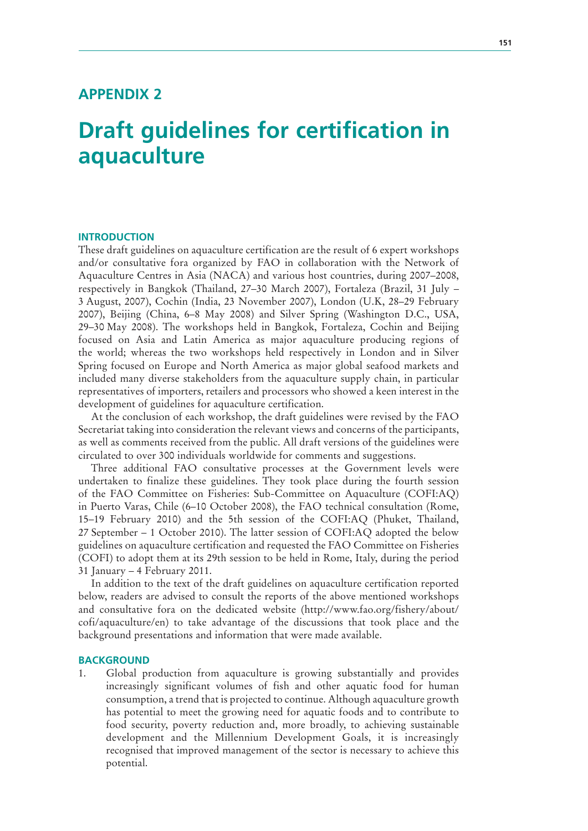# **APPENDIX 2**

# **Draft guidelines for certification in aquaculture**

#### **INTRODUCTION**

These draft guidelines on aquaculture certification are the result of 6 expert workshops and/or consultative fora organized by FAO in collaboration with the Network of Aquaculture Centres in Asia (NACA) and various host countries, during 2007–2008, respectively in Bangkok (Thailand, 27–30 March 2007), Fortaleza (Brazil, 31 July – 3 August, 2007), Cochin (India, 23 November 2007), London (U.K, 28–29 February 2007), Beijing (China, 6–8 May 2008) and Silver Spring (Washington D.C., USA, 29–30 May 2008). The workshops held in Bangkok, Fortaleza, Cochin and Beijing focused on Asia and Latin America as major aquaculture producing regions of the world; whereas the two workshops held respectively in London and in Silver Spring focused on Europe and North America as major global seafood markets and included many diverse stakeholders from the aquaculture supply chain, in particular representatives of importers, retailers and processors who showed a keen interest in the development of guidelines for aquaculture certification.

At the conclusion of each workshop, the draft guidelines were revised by the FAO Secretariat taking into consideration the relevant views and concerns of the participants, as well as comments received from the public. All draft versions of the guidelines were circulated to over 300 individuals worldwide for comments and suggestions.

Three additional FAO consultative processes at the Government levels were undertaken to finalize these guidelines. They took place during the fourth session of the FAO Committee on Fisheries: Sub-Committee on Aquaculture (COFI:AQ) in Puerto Varas, Chile (6–10 October 2008), the FAO technical consultation (Rome, 15–19 February 2010) and the 5th session of the COFI:AQ (Phuket, Thailand, 27 September – 1 October 2010). The latter session of COFI:AQ adopted the below guidelines on aquaculture certification and requested the FAO Committee on Fisheries (COFI) to adopt them at its 29th session to be held in Rome, Italy, during the period 31 January – 4 February 2011.

In addition to the text of the draft guidelines on aquaculture certification reported below, readers are advised to consult the reports of the above mentioned workshops and consultative fora on the dedicated website (http://www.fao.org/fishery/about/ cofi/aquaculture/en) to take advantage of the discussions that took place and the background presentations and information that were made available.

#### **BACKGROUND**

1. Global production from aquaculture is growing substantially and provides increasingly significant volumes of fish and other aquatic food for human consumption, a trend that is projected to continue. Although aquaculture growth has potential to meet the growing need for aquatic foods and to contribute to food security, poverty reduction and, more broadly, to achieving sustainable development and the Millennium Development Goals, it is increasingly recognised that improved management of the sector is necessary to achieve this potential.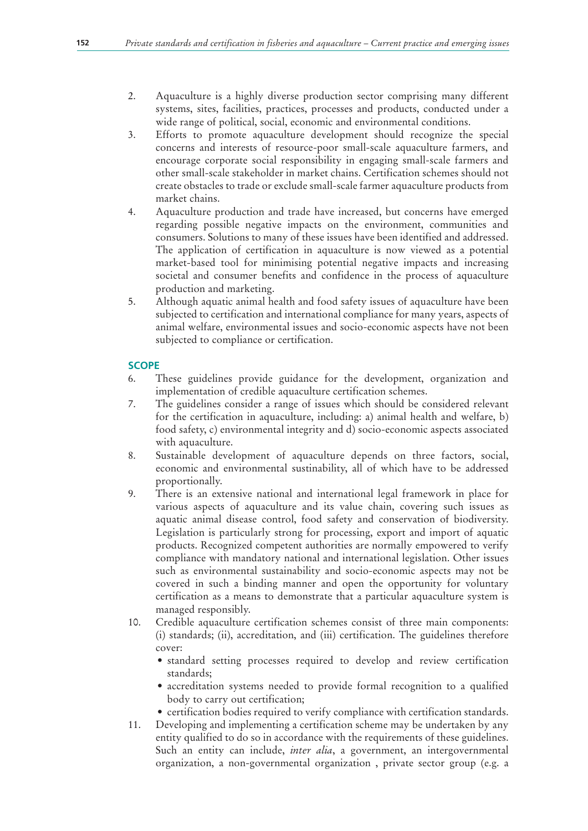- 2. Aquaculture is a highly diverse production sector comprising many different systems, sites, facilities, practices, processes and products, conducted under a wide range of political, social, economic and environmental conditions.
- 3. Efforts to promote aquaculture development should recognize the special concerns and interests of resource-poor small-scale aquaculture farmers, and encourage corporate social responsibility in engaging small-scale farmers and other small-scale stakeholder in market chains. Certification schemes should not create obstacles to trade or exclude small-scale farmer aquaculture products from market chains.
- 4. Aquaculture production and trade have increased, but concerns have emerged regarding possible negative impacts on the environment, communities and consumers. Solutions to many of these issues have been identified and addressed. The application of certification in aquaculture is now viewed as a potential market-based tool for minimising potential negative impacts and increasing societal and consumer benefits and confidence in the process of aquaculture production and marketing.
- 5. Although aquatic animal health and food safety issues of aquaculture have been subjected to certification and international compliance for many years, aspects of animal welfare, environmental issues and socio-economic aspects have not been subjected to compliance or certification.

# **SCOPE**

- 6. These guidelines provide guidance for the development, organization and implementation of credible aquaculture certification schemes.
- 7. The guidelines consider a range of issues which should be considered relevant for the certification in aquaculture, including: a) animal health and welfare, b) food safety, c) environmental integrity and d) socio-economic aspects associated with aquaculture.
- 8. Sustainable development of aquaculture depends on three factors, social, economic and environmental sustinability, all of which have to be addressed proportionally.
- 9. There is an extensive national and international legal framework in place for various aspects of aquaculture and its value chain, covering such issues as aquatic animal disease control, food safety and conservation of biodiversity. Legislation is particularly strong for processing, export and import of aquatic products. Recognized competent authorities are normally empowered to verify compliance with mandatory national and international legislation. Other issues such as environmental sustainability and socio-economic aspects may not be covered in such a binding manner and open the opportunity for voluntary certification as a means to demonstrate that a particular aquaculture system is managed responsibly.
- 10. Credible aquaculture certification schemes consist of three main components: (i) standards; (ii), accreditation, and (iii) certification. The guidelines therefore cover:
	- standard setting processes required to develop and review certification standards;
	- accreditation systems needed to provide formal recognition to a qualified body to carry out certification;
	- certification bodies required to verify compliance with certification standards.
- 11. Developing and implementing a certification scheme may be undertaken by any entity qualified to do so in accordance with the requirements of these guidelines. Such an entity can include, *inter alia*, a government, an intergovernmental organization, a non-governmental organization , private sector group (e.g. a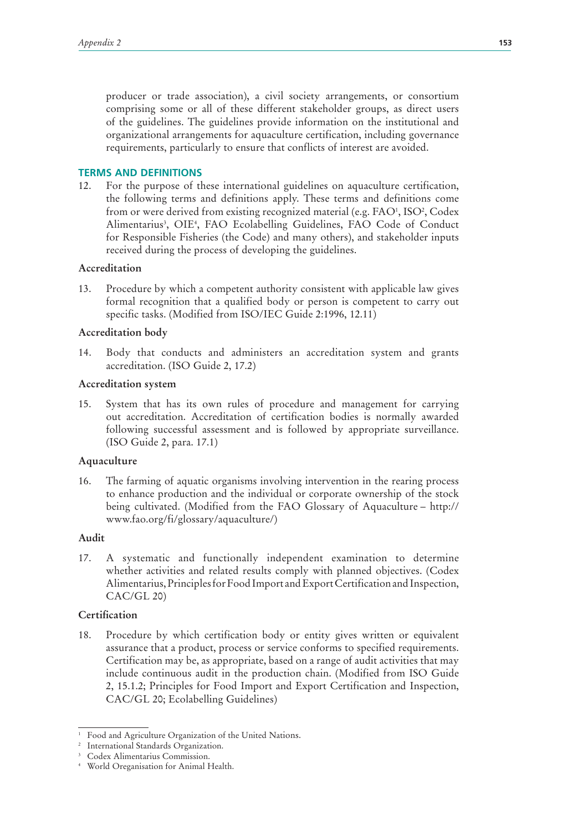producer or trade association), a civil society arrangements, or consortium comprising some or all of these different stakeholder groups, as direct users of the guidelines. The guidelines provide information on the institutional and organizational arrangements for aquaculture certification, including governance requirements, particularly to ensure that conflicts of interest are avoided.

# **TERMS AND DEFINITIONS**

12. For the purpose of these international guidelines on aquaculture certification, the following terms and definitions apply. These terms and definitions come from or were derived from existing recognized material (e.g. FAO!, ISO?, Codex Alimentarius<sup>3</sup>, OIE<sup>4</sup>, FAO Ecolabelling Guidelines, FAO Code of Conduct for Responsible Fisheries (the Code) and many others), and stakeholder inputs received during the process of developing the guidelines.

# **Accreditation**

13. Procedure by which a competent authority consistent with applicable law gives formal recognition that a qualified body or person is competent to carry out specific tasks. (Modified from ISO/IEC Guide 2:1996, 12.11)

## **Accreditation body**

14. Body that conducts and administers an accreditation system and grants accreditation. (ISO Guide 2, 17.2)

## **Accreditation system**

15. System that has its own rules of procedure and management for carrying out accreditation. Accreditation of certification bodies is normally awarded following successful assessment and is followed by appropriate surveillance. (ISO Guide 2, para. 17.1)

# **Aquaculture**

16. The farming of aquatic organisms involving intervention in the rearing process to enhance production and the individual or corporate ownership of the stock being cultivated. (Modified from the FAO Glossary of Aquaculture – http:// www.fao.org/fi/glossary/aquaculture/)

## **Audit**

17. A systematic and functionally independent examination to determine whether activities and related results comply with planned objectives. (Codex Alimentarius, Principles for Food Import and Export Certification and Inspection, CAC/GL 20)

# **Certification**

18. Procedure by which certification body or entity gives written or equivalent assurance that a product, process or service conforms to specified requirements. Certification may be, as appropriate, based on a range of audit activities that may include continuous audit in the production chain. (Modified from ISO Guide 2, 15.1.2; Principles for Food Import and Export Certification and Inspection, CAC/GL 20; Ecolabelling Guidelines)

<sup>1</sup> Food and Agriculture Organization of the United Nations.

<sup>2</sup> International Standards Organization.

<sup>3</sup> Codex Alimentarius Commission.

<sup>4</sup> World Oreganisation for Animal Health.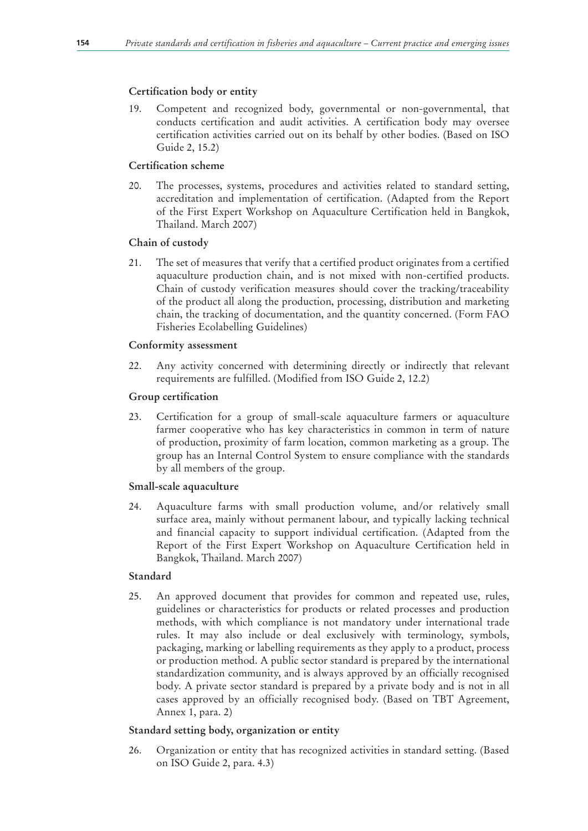## **Certification body or entity**

19. Competent and recognized body, governmental or non-governmental, that conducts certification and audit activities. A certification body may oversee certification activities carried out on its behalf by other bodies. (Based on ISO Guide 2, 15.2)

## **Certification scheme**

20. The processes, systems, procedures and activities related to standard setting, accreditation and implementation of certification. (Adapted from the Report of the First Expert Workshop on Aquaculture Certification held in Bangkok, Thailand. March 2007)

#### **Chain of custody**

21. The set of measures that verify that a certified product originates from a certified aquaculture production chain, and is not mixed with non-certified products. Chain of custody verification measures should cover the tracking/traceability of the product all along the production, processing, distribution and marketing chain, the tracking of documentation, and the quantity concerned. (Form FAO Fisheries Ecolabelling Guidelines)

#### **Conformity assessment**

22. Any activity concerned with determining directly or indirectly that relevant requirements are fulfilled. (Modified from ISO Guide 2, 12.2)

#### **Group certification**

23. Certification for a group of small-scale aquaculture farmers or aquaculture farmer cooperative who has key characteristics in common in term of nature of production, proximity of farm location, common marketing as a group. The group has an Internal Control System to ensure compliance with the standards by all members of the group.

#### **Small-scale aquaculture**

24. Aquaculture farms with small production volume, and/or relatively small surface area, mainly without permanent labour, and typically lacking technical and financial capacity to support individual certification. (Adapted from the Report of the First Expert Workshop on Aquaculture Certification held in Bangkok, Thailand. March 2007)

#### **Standard**

25. An approved document that provides for common and repeated use, rules, guidelines or characteristics for products or related processes and production methods, with which compliance is not mandatory under international trade rules. It may also include or deal exclusively with terminology, symbols, packaging, marking or labelling requirements as they apply to a product, process or production method. A public sector standard is prepared by the international standardization community, and is always approved by an officially recognised body. A private sector standard is prepared by a private body and is not in all cases approved by an officially recognised body. (Based on TBT Agreement, Annex 1, para. 2)

#### **Standard setting body, organization or entity**

26. Organization or entity that has recognized activities in standard setting. (Based on ISO Guide 2, para. 4.3)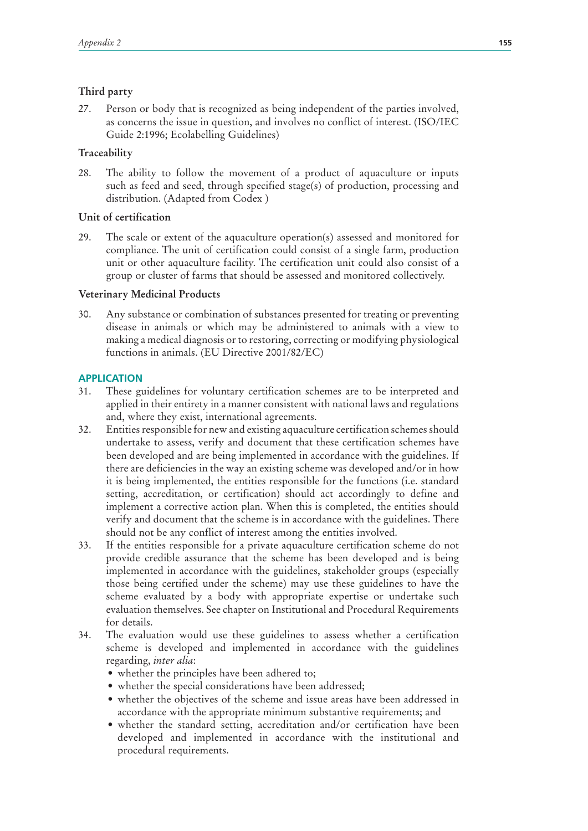# **Third party**

27. Person or body that is recognized as being independent of the parties involved, as concerns the issue in question, and involves no conflict of interest. (ISO/IEC Guide 2:1996; Ecolabelling Guidelines)

## **Traceability**

28. The ability to follow the movement of a product of aquaculture or inputs such as feed and seed, through specified stage(s) of production, processing and distribution. (Adapted from Codex )

## **Unit of certification**

29. The scale or extent of the aquaculture operation(s) assessed and monitored for compliance. The unit of certification could consist of a single farm, production unit or other aquaculture facility. The certification unit could also consist of a group or cluster of farms that should be assessed and monitored collectively.

## **Veterinary Medicinal Products**

30. Any substance or combination of substances presented for treating or preventing disease in animals or which may be administered to animals with a view to making a medical diagnosis or to restoring, correcting or modifying physiological functions in animals. (EU Directive 2001/82/EC)

## **APPLICATION**

- 31. These guidelines for voluntary certification schemes are to be interpreted and applied in their entirety in a manner consistent with national laws and regulations and, where they exist, international agreements.
- 32. Entities responsible for new and existing aquaculture certification schemes should undertake to assess, verify and document that these certification schemes have been developed and are being implemented in accordance with the guidelines. If there are deficiencies in the way an existing scheme was developed and/or in how it is being implemented, the entities responsible for the functions (i.e. standard setting, accreditation, or certification) should act accordingly to define and implement a corrective action plan. When this is completed, the entities should verify and document that the scheme is in accordance with the guidelines. There should not be any conflict of interest among the entities involved.
- 33. If the entities responsible for a private aquaculture certification scheme do not provide credible assurance that the scheme has been developed and is being implemented in accordance with the guidelines, stakeholder groups (especially those being certified under the scheme) may use these guidelines to have the scheme evaluated by a body with appropriate expertise or undertake such evaluation themselves. See chapter on Institutional and Procedural Requirements for details.
- 34. The evaluation would use these guidelines to assess whether a certification scheme is developed and implemented in accordance with the guidelines regarding, *inter alia*:
	- whether the principles have been adhered to;
	- whether the special considerations have been addressed;
	- whether the objectives of the scheme and issue areas have been addressed in accordance with the appropriate minimum substantive requirements; and
	- whether the standard setting, accreditation and/or certification have been developed and implemented in accordance with the institutional and procedural requirements.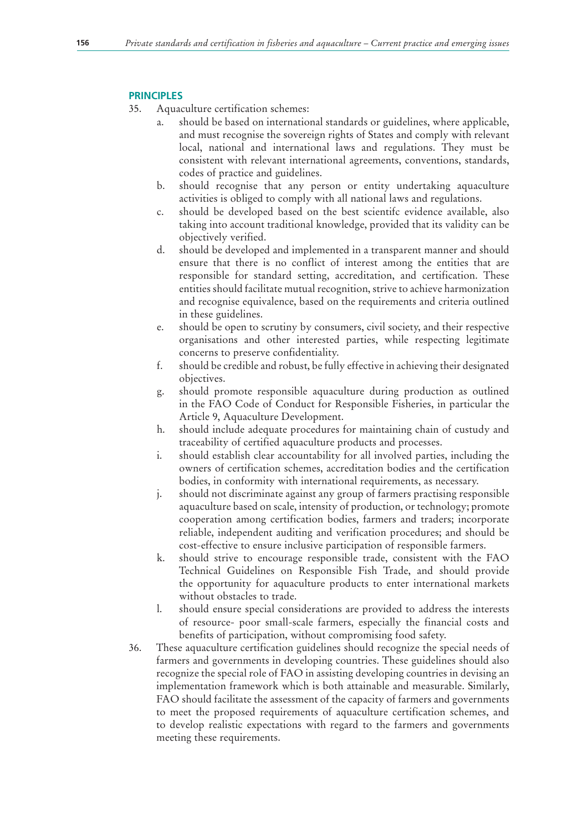### **PRINCIPLES**

- 35. Aquaculture certification schemes:
	- a. should be based on international standards or guidelines, where applicable, and must recognise the sovereign rights of States and comply with relevant local, national and international laws and regulations. They must be consistent with relevant international agreements, conventions, standards, codes of practice and guidelines.
	- b. should recognise that any person or entity undertaking aquaculture activities is obliged to comply with all national laws and regulations.
	- c. should be developed based on the best scientifc evidence available, also taking into account traditional knowledge, provided that its validity can be objectively verified.
	- d. should be developed and implemented in a transparent manner and should ensure that there is no conflict of interest among the entities that are responsible for standard setting, accreditation, and certification. These entities should facilitate mutual recognition, strive to achieve harmonization and recognise equivalence, based on the requirements and criteria outlined in these guidelines.
	- e. should be open to scrutiny by consumers, civil society, and their respective organisations and other interested parties, while respecting legitimate concerns to preserve confidentiality.
	- f. should be credible and robust, be fully effective in achieving their designated objectives.
	- g. should promote responsible aquaculture during production as outlined in the FAO Code of Conduct for Responsible Fisheries, in particular the Article 9, Aquaculture Development.
	- h. should include adequate procedures for maintaining chain of custudy and traceability of certified aquaculture products and processes.
	- i. should establish clear accountability for all involved parties, including the owners of certification schemes, accreditation bodies and the certification bodies, in conformity with international requirements, as necessary.
	- j. should not discriminate against any group of farmers practising responsible aquaculture based on scale, intensity of production, or technology; promote cooperation among certification bodies, farmers and traders; incorporate reliable, independent auditing and verification procedures; and should be cost-effective to ensure inclusive participation of responsible farmers.
	- k. should strive to encourage responsible trade, consistent with the FAO Technical Guidelines on Responsible Fish Trade, and should provide the opportunity for aquaculture products to enter international markets without obstacles to trade.
	- l. should ensure special considerations are provided to address the interests of resource- poor small-scale farmers, especially the financial costs and benefits of participation, without compromising food safety.
- 36. These aquaculture certification guidelines should recognize the special needs of farmers and governments in developing countries. These guidelines should also recognize the special role of FAO in assisting developing countries in devising an implementation framework which is both attainable and measurable. Similarly, FAO should facilitate the assessment of the capacity of farmers and governments to meet the proposed requirements of aquaculture certification schemes, and to develop realistic expectations with regard to the farmers and governments meeting these requirements.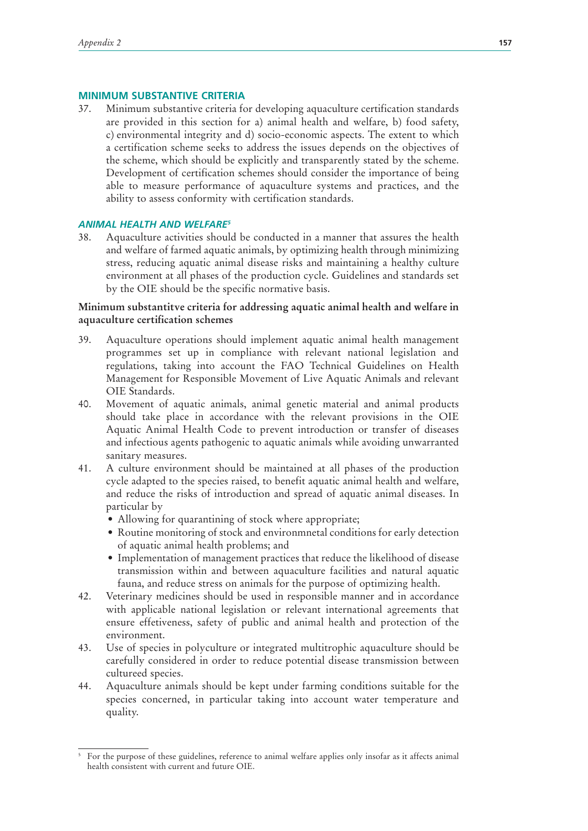## **MINIMUM SUBSTANTIVE CRITERIA**

37. Minimum substantive criteria for developing aquaculture certification standards are provided in this section for a) animal health and welfare, b) food safety, c) environmental integrity and d) socio-economic aspects. The extent to which a certification scheme seeks to address the issues depends on the objectives of the scheme, which should be explicitly and transparently stated by the scheme. Development of certification schemes should consider the importance of being able to measure performance of aquaculture systems and practices, and the ability to assess conformity with certification standards.

## *ANIMAL HEALTH AND WELFARE5*

38. Aquaculture activities should be conducted in a manner that assures the health and welfare of farmed aquatic animals, by optimizing health through minimizing stress, reducing aquatic animal disease risks and maintaining a healthy culture environment at all phases of the production cycle. Guidelines and standards set by the OIE should be the specific normative basis.

## **Minimum substantitve criteria for addressing aquatic animal health and welfare in aquaculture certification schemes**

- 39. Aquaculture operations should implement aquatic animal health management programmes set up in compliance with relevant national legislation and regulations, taking into account the FAO Technical Guidelines on Health Management for Responsible Movement of Live Aquatic Animals and relevant OIE Standards.
- 40. Movement of aquatic animals, animal genetic material and animal products should take place in accordance with the relevant provisions in the OIE Aquatic Animal Health Code to prevent introduction or transfer of diseases and infectious agents pathogenic to aquatic animals while avoiding unwarranted sanitary measures.
- 41. A culture environment should be maintained at all phases of the production cycle adapted to the species raised, to benefit aquatic animal health and welfare, and reduce the risks of introduction and spread of aquatic animal diseases. In particular by
	- Allowing for quarantining of stock where appropriate;
	- Routine monitoring of stock and environmnetal conditions for early detection of aquatic animal health problems; and
	- Implementation of management practices that reduce the likelihood of disease transmission within and between aquaculture facilities and natural aquatic fauna, and reduce stress on animals for the purpose of optimizing health.
- 42. Veterinary medicines should be used in responsible manner and in accordance with applicable national legislation or relevant international agreements that ensure effetiveness, safety of public and animal health and protection of the environment.
- 43. Use of species in polyculture or integrated multitrophic aquaculture should be carefully considered in order to reduce potential disease transmission between cultureed species.
- 44. Aquaculture animals should be kept under farming conditions suitable for the species concerned, in particular taking into account water temperature and quality.

<sup>5</sup> For the purpose of these guidelines, reference to animal welfare applies only insofar as it affects animal health consistent with current and future OIE.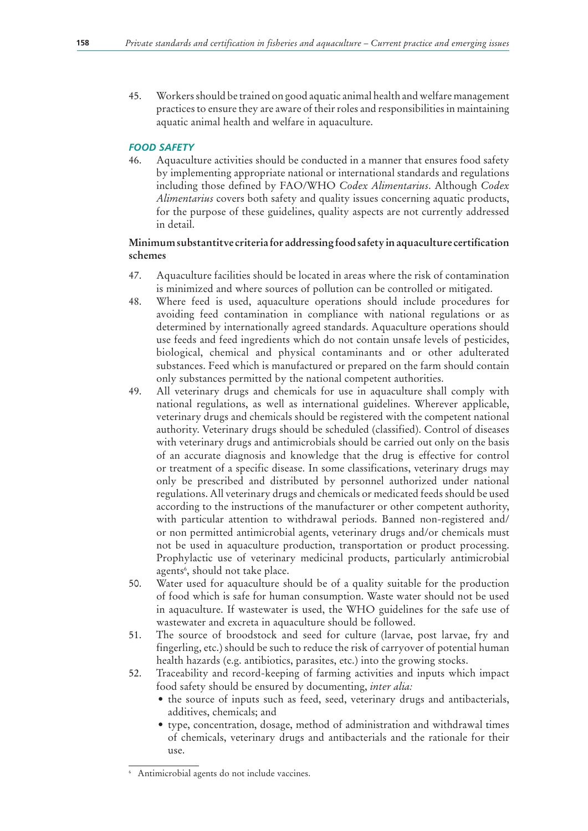45. Workers should be trained on good aquatic animal health and welfare management practices to ensure they are aware of their roles and responsibilities in maintaining aquatic animal health and welfare in aquaculture.

## *FOOD SAFETY*

46. Aquaculture activities should be conducted in a manner that ensures food safety by implementing appropriate national or international standards and regulations including those defined by FAO/WHO *Codex Alimentarius*. Although *Codex Alimentarius* covers both safety and quality issues concerning aquatic products, for the purpose of these guidelines, quality aspects are not currently addressed in detail.

## **Minimum substantitve criteria for addressing food safety in aquaculture certification schemes**

- 47. Aquaculture facilities should be located in areas where the risk of contamination is minimized and where sources of pollution can be controlled or mitigated.
- 48. Where feed is used, aquaculture operations should include procedures for avoiding feed contamination in compliance with national regulations or as determined by internationally agreed standards. Aquaculture operations should use feeds and feed ingredients which do not contain unsafe levels of pesticides, biological, chemical and physical contaminants and or other adulterated substances. Feed which is manufactured or prepared on the farm should contain only substances permitted by the national competent authorities.
- 49. All veterinary drugs and chemicals for use in aquaculture shall comply with national regulations, as well as international guidelines. Wherever applicable, veterinary drugs and chemicals should be registered with the competent national authority. Veterinary drugs should be scheduled (classified). Control of diseases with veterinary drugs and antimicrobials should be carried out only on the basis of an accurate diagnosis and knowledge that the drug is effective for control or treatment of a specific disease. In some classifications, veterinary drugs may only be prescribed and distributed by personnel authorized under national regulations. All veterinary drugs and chemicals or medicated feeds should be used according to the instructions of the manufacturer or other competent authority, with particular attention to withdrawal periods. Banned non-registered and/ or non permitted antimicrobial agents, veterinary drugs and/or chemicals must not be used in aquaculture production, transportation or product processing. Prophylactic use of veterinary medicinal products, particularly antimicrobial agents', should not take place.
- 50. Water used for aquaculture should be of a quality suitable for the production of food which is safe for human consumption. Waste water should not be used in aquaculture. If wastewater is used, the WHO guidelines for the safe use of wastewater and excreta in aquaculture should be followed.
- 51. The source of broodstock and seed for culture (larvae, post larvae, fry and fingerling, etc.) should be such to reduce the risk of carryover of potential human health hazards (e.g. antibiotics, parasites, etc.) into the growing stocks.
- 52. Traceability and record-keeping of farming activities and inputs which impact food safety should be ensured by documenting, *inter alia:*
	- the source of inputs such as feed, seed, veterinary drugs and antibacterials, additives, chemicals; and
	- type, concentration, dosage, method of administration and withdrawal times of chemicals, veterinary drugs and antibacterials and the rationale for their use.

Antimicrobial agents do not include vaccines.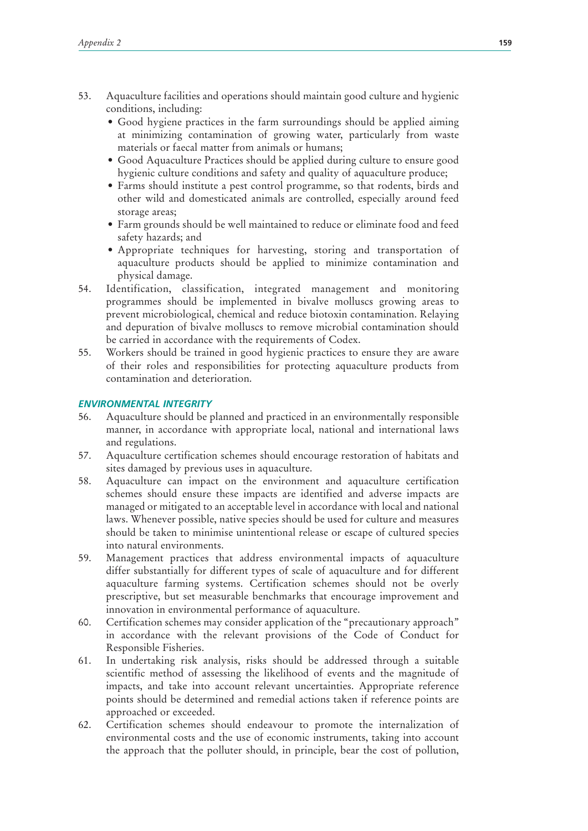- 53. Aquaculture facilities and operations should maintain good culture and hygienic conditions, including:
	- Good hygiene practices in the farm surroundings should be applied aiming at minimizing contamination of growing water, particularly from waste materials or faecal matter from animals or humans;
	- Good Aquaculture Practices should be applied during culture to ensure good hygienic culture conditions and safety and quality of aquaculture produce;
	- Farms should institute a pest control programme, so that rodents, birds and other wild and domesticated animals are controlled, especially around feed storage areas;
	- Farm grounds should be well maintained to reduce or eliminate food and feed safety hazards; and
	- Appropriate techniques for harvesting, storing and transportation of aquaculture products should be applied to minimize contamination and physical damage.
- 54. Identification, classification, integrated management and monitoring programmes should be implemented in bivalve molluscs growing areas to prevent microbiological, chemical and reduce biotoxin contamination. Relaying and depuration of bivalve molluscs to remove microbial contamination should be carried in accordance with the requirements of Codex.
- 55. Workers should be trained in good hygienic practices to ensure they are aware of their roles and responsibilities for protecting aquaculture products from contamination and deterioration.

## *ENVIRONMENTAL INTEGRITY*

- 56. Aquaculture should be planned and practiced in an environmentally responsible manner, in accordance with appropriate local, national and international laws and regulations.
- 57. Aquaculture certification schemes should encourage restoration of habitats and sites damaged by previous uses in aquaculture.
- 58. Aquaculture can impact on the environment and aquaculture certification schemes should ensure these impacts are identified and adverse impacts are managed or mitigated to an acceptable level in accordance with local and national laws. Whenever possible, native species should be used for culture and measures should be taken to minimise unintentional release or escape of cultured species into natural environments.
- 59. Management practices that address environmental impacts of aquaculture differ substantially for different types of scale of aquaculture and for different aquaculture farming systems. Certification schemes should not be overly prescriptive, but set measurable benchmarks that encourage improvement and innovation in environmental performance of aquaculture.
- 60. Certification schemes may consider application of the "precautionary approach" in accordance with the relevant provisions of the Code of Conduct for Responsible Fisheries.
- 61. In undertaking risk analysis, risks should be addressed through a suitable scientific method of assessing the likelihood of events and the magnitude of impacts, and take into account relevant uncertainties. Appropriate reference points should be determined and remedial actions taken if reference points are approached or exceeded.
- 62. Certification schemes should endeavour to promote the internalization of environmental costs and the use of economic instruments, taking into account the approach that the polluter should, in principle, bear the cost of pollution,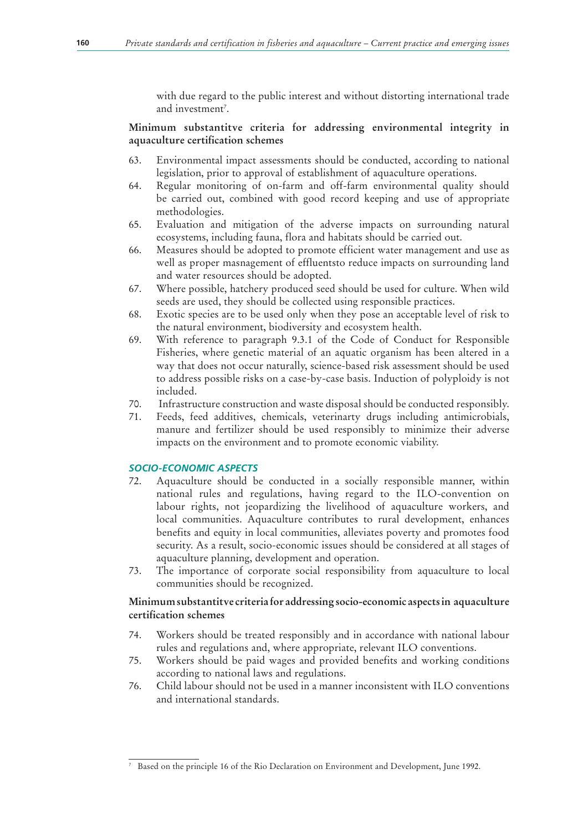with due regard to the public interest and without distorting international trade and investment<sup>7</sup>.

## **Minimum substantitve criteria for addressing environmental integrity in aquaculture certification schemes**

- 63. Environmental impact assessments should be conducted, according to national legislation, prior to approval of establishment of aquaculture operations.
- 64. Regular monitoring of on-farm and off-farm environmental quality should be carried out, combined with good record keeping and use of appropriate methodologies.
- 65. Evaluation and mitigation of the adverse impacts on surrounding natural ecosystems, including fauna, flora and habitats should be carried out.
- 66. Measures should be adopted to promote efficient water management and use as well as proper masnagement of effluentsto reduce impacts on surrounding land and water resources should be adopted.
- 67. Where possible, hatchery produced seed should be used for culture. When wild seeds are used, they should be collected using responsible practices.
- 68. Exotic species are to be used only when they pose an acceptable level of risk to the natural environment, biodiversity and ecosystem health.
- 69. With reference to paragraph 9.3.1 of the Code of Conduct for Responsible Fisheries, where genetic material of an aquatic organism has been altered in a way that does not occur naturally, science-based risk assessment should be used to address possible risks on a case-by-case basis. Induction of polyploidy is not included.
- 70. Infrastructure construction and waste disposal should be conducted responsibly.
- 71. Feeds, feed additives, chemicals, veterinarty drugs including antimicrobials, manure and fertilizer should be used responsibly to minimize their adverse impacts on the environment and to promote economic viability.

#### *SOCIO-ECONOMIC ASPECTS*

- 72. Aquaculture should be conducted in a socially responsible manner, within national rules and regulations, having regard to the ILO-convention on labour rights, not jeopardizing the livelihood of aquaculture workers, and local communities. Aquaculture contributes to rural development, enhances benefits and equity in local communities, alleviates poverty and promotes food security. As a result, socio-economic issues should be considered at all stages of aquaculture planning, development and operation.
- 73. The importance of corporate social responsibility from aquaculture to local communities should be recognized.

## **Minimum substantitve criteria for addressing socio-economic aspects in aquaculture certification schemes**

- 74. Workers should be treated responsibly and in accordance with national labour rules and regulations and, where appropriate, relevant ILO conventions.
- 75. Workers should be paid wages and provided benefits and working conditions according to national laws and regulations.
- 76. Child labour should not be used in a manner inconsistent with ILO conventions and international standards.

<sup>7</sup> Based on the principle 16 of the Rio Declaration on Environment and Development, June 1992.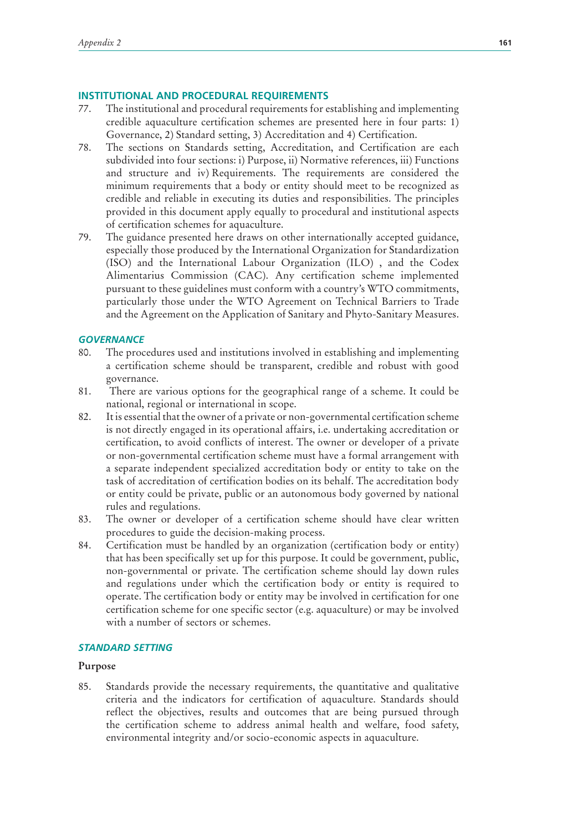## **INSTITUTIONAL AND PROCEDURAL REQUIREMENTS**

- 77. The institutional and procedural requirements for establishing and implementing credible aquaculture certification schemes are presented here in four parts: 1) Governance, 2) Standard setting, 3) Accreditation and 4) Certification.
- 78. The sections on Standards setting, Accreditation, and Certification are each subdivided into four sections: i) Purpose, ii) Normative references, iii) Functions and structure and iv) Requirements. The requirements are considered the minimum requirements that a body or entity should meet to be recognized as credible and reliable in executing its duties and responsibilities. The principles provided in this document apply equally to procedural and institutional aspects of certification schemes for aquaculture.
- 79. The guidance presented here draws on other internationally accepted guidance, especially those produced by the International Organization for Standardization (ISO) and the International Labour Organization (ILO) , and the Codex Alimentarius Commission (CAC). Any certification scheme implemented pursuant to these guidelines must conform with a country's WTO commitments, particularly those under the WTO Agreement on Technical Barriers to Trade and the Agreement on the Application of Sanitary and Phyto-Sanitary Measures.

## *GOVERNANCE*

- 80. The procedures used and institutions involved in establishing and implementing a certification scheme should be transparent, credible and robust with good governance.
- 81. There are various options for the geographical range of a scheme. It could be national, regional or international in scope.
- 82. It is essential that the owner of a private or non-governmental certification scheme is not directly engaged in its operational affairs, i.e. undertaking accreditation or certification, to avoid conflicts of interest. The owner or developer of a private or non-governmental certification scheme must have a formal arrangement with a separate independent specialized accreditation body or entity to take on the task of accreditation of certification bodies on its behalf. The accreditation body or entity could be private, public or an autonomous body governed by national rules and regulations.
- 83. The owner or developer of a certification scheme should have clear written procedures to guide the decision-making process.
- 84. Certification must be handled by an organization (certification body or entity) that has been specifically set up for this purpose. It could be government, public, non-governmental or private. The certification scheme should lay down rules and regulations under which the certification body or entity is required to operate. The certification body or entity may be involved in certification for one certification scheme for one specific sector (e.g. aquaculture) or may be involved with a number of sectors or schemes.

## *STANDARD SETTING*

#### **Purpose**

85. Standards provide the necessary requirements, the quantitative and qualitative criteria and the indicators for certification of aquaculture. Standards should reflect the objectives, results and outcomes that are being pursued through the certification scheme to address animal health and welfare, food safety, environmental integrity and/or socio-economic aspects in aquaculture.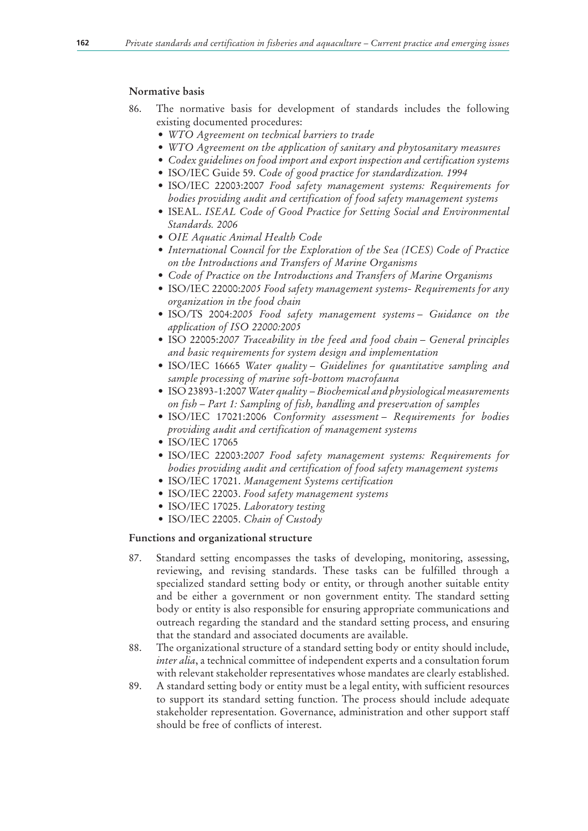#### **Normative basis**

- 86. The normative basis for development of standards includes the following existing documented procedures:
	- *WTO Agreement on technical barriers to trade*
	- *WTO Agreement on the application of sanitary and phytosanitary measures*
	- *Codex guidelines on food import and export inspection and certification systems*
	- ISO/IEC Guide 59. *Code of good practice for standardization. 1994*
	- ISO/IEC 22003:2007 *Food safety management systems: Requirements for bodies providing audit and certification of food safety management systems*
	- ISEAL. *ISEAL Code of Good Practice for Setting Social and Environmental Standards. 2006*
	- *OIE Aquatic Animal Health Code*
	- *International Council for the Exploration of the Sea (ICES) Code of Practice on the Introductions and Transfers of Marine Organisms*
	- *Code of Practice on the Introductions and Transfers of Marine Organisms*
	- ISO/IEC 22000:*2005 Food safety management systems- Requirements for any organization in the food chain*
	- ISO/TS 2004:*2005 Food safety management systems Guidance on the application of ISO 22000:2005*
	- ISO 22005:*2007 Traceability in the feed and food chain General principles and basic requirements for system design and implementation*
	- ISO/IEC 16665 *Water quality Guidelines for quantitative sampling and sample processing of marine soft-bottom macrofauna*
	- ISO 23893-1:2007 *Water quality Biochemical and physiological measurements on fish – Part 1: Sampling of fish, handling and preservation of samples*
	- ISO/IEC 17021:2006 *Conformity assessment Requirements for bodies providing audit and certification of management systems*
	- ISO/IEC 17065
	- ISO/IEC 22003:*2007 Food safety management systems: Requirements for bodies providing audit and certification of food safety management systems*
	- ISO/IEC 17021. *Management Systems certification*
	- ISO/IEC 22003. *Food safety management systems*
	- ISO/IEC 17025. *Laboratory testing*
	- ISO/IEC 22005. *Chain of Custody*

#### **Functions and organizational structure**

- 87. Standard setting encompasses the tasks of developing, monitoring, assessing, reviewing, and revising standards. These tasks can be fulfilled through a specialized standard setting body or entity, or through another suitable entity and be either a government or non government entity. The standard setting body or entity is also responsible for ensuring appropriate communications and outreach regarding the standard and the standard setting process, and ensuring that the standard and associated documents are available.
- 88. The organizational structure of a standard setting body or entity should include, *inter alia*, a technical committee of independent experts and a consultation forum with relevant stakeholder representatives whose mandates are clearly established.
- 89. A standard setting body or entity must be a legal entity, with sufficient resources to support its standard setting function. The process should include adequate stakeholder representation. Governance, administration and other support staff should be free of conflicts of interest.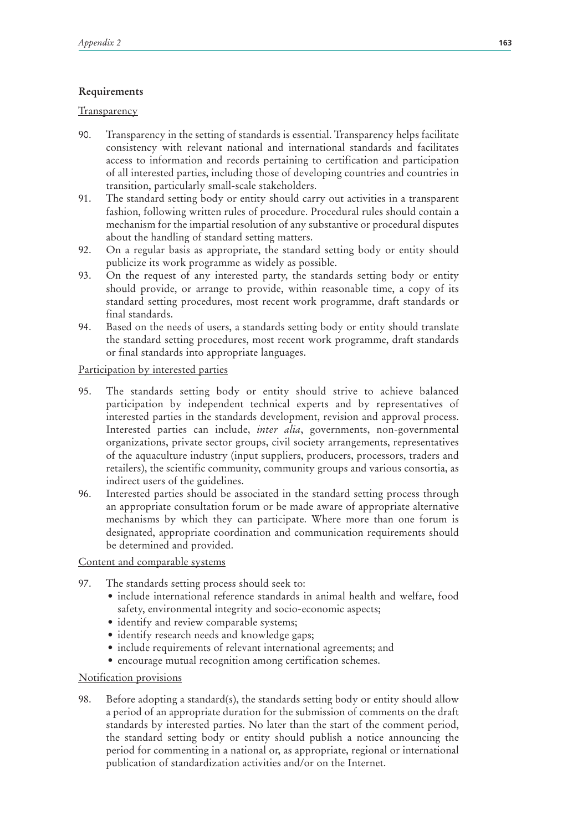# **Requirements**

**Transparency** 

- 90. Transparency in the setting of standards is essential. Transparency helps facilitate consistency with relevant national and international standards and facilitates access to information and records pertaining to certification and participation of all interested parties, including those of developing countries and countries in transition, particularly small-scale stakeholders.
- 91. The standard setting body or entity should carry out activities in a transparent fashion, following written rules of procedure. Procedural rules should contain a mechanism for the impartial resolution of any substantive or procedural disputes about the handling of standard setting matters.
- 92. On a regular basis as appropriate, the standard setting body or entity should publicize its work programme as widely as possible.
- 93. On the request of any interested party, the standards setting body or entity should provide, or arrange to provide, within reasonable time, a copy of its standard setting procedures, most recent work programme, draft standards or final standards.
- 94. Based on the needs of users, a standards setting body or entity should translate the standard setting procedures, most recent work programme, draft standards or final standards into appropriate languages.

# Participation by interested parties

- 95. The standards setting body or entity should strive to achieve balanced participation by independent technical experts and by representatives of interested parties in the standards development, revision and approval process. Interested parties can include, *inter alia*, governments, non-governmental organizations, private sector groups, civil society arrangements, representatives of the aquaculture industry (input suppliers, producers, processors, traders and retailers), the scientific community, community groups and various consortia, as indirect users of the guidelines.
- 96. Interested parties should be associated in the standard setting process through an appropriate consultation forum or be made aware of appropriate alternative mechanisms by which they can participate. Where more than one forum is designated, appropriate coordination and communication requirements should be determined and provided.

## Content and comparable systems

- 97. The standards setting process should seek to:
	- include international reference standards in animal health and welfare, food safety, environmental integrity and socio-economic aspects;
	- identify and review comparable systems;
	- identify research needs and knowledge gaps;
	- include requirements of relevant international agreements; and
	- encourage mutual recognition among certification schemes.

## Notification provisions

98. Before adopting a standard(s), the standards setting body or entity should allow a period of an appropriate duration for the submission of comments on the draft standards by interested parties. No later than the start of the comment period, the standard setting body or entity should publish a notice announcing the period for commenting in a national or, as appropriate, regional or international publication of standardization activities and/or on the Internet.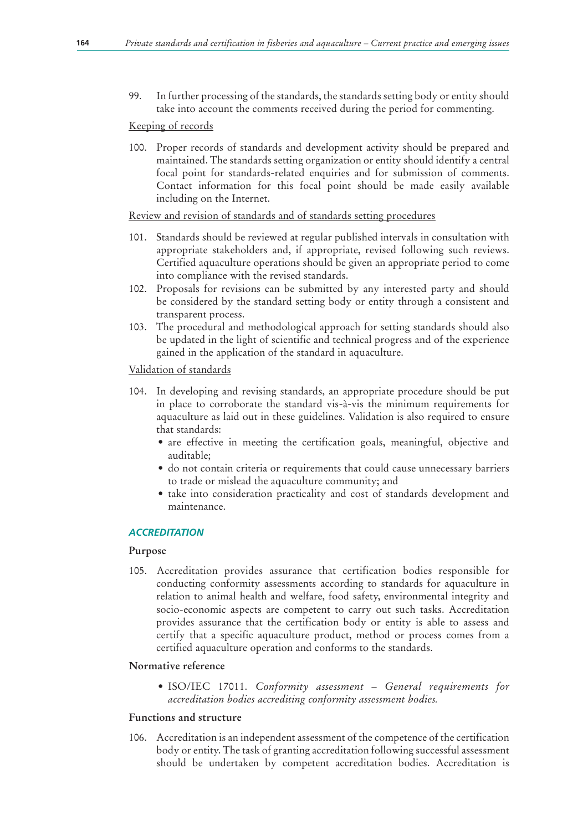99. In further processing of the standards, the standards setting body or entity should take into account the comments received during the period for commenting.

## Keeping of records

100. Proper records of standards and development activity should be prepared and maintained. The standards setting organization or entity should identify a central focal point for standards-related enquiries and for submission of comments. Contact information for this focal point should be made easily available including on the Internet.

#### Review and revision of standards and of standards setting procedures

- 101. Standards should be reviewed at regular published intervals in consultation with appropriate stakeholders and, if appropriate, revised following such reviews. Certified aquaculture operations should be given an appropriate period to come into compliance with the revised standards.
- 102. Proposals for revisions can be submitted by any interested party and should be considered by the standard setting body or entity through a consistent and transparent process.
- 103. The procedural and methodological approach for setting standards should also be updated in the light of scientific and technical progress and of the experience gained in the application of the standard in aquaculture.

## Validation of standards

- 104. In developing and revising standards, an appropriate procedure should be put in place to corroborate the standard vis-à-vis the minimum requirements for aquaculture as laid out in these guidelines. Validation is also required to ensure that standards:
	- are effective in meeting the certification goals, meaningful, objective and auditable;
	- do not contain criteria or requirements that could cause unnecessary barriers to trade or mislead the aquaculture community; and
	- take into consideration practicality and cost of standards development and maintenance.

#### *ACCREDITATION*

#### **Purpose**

105. Accreditation provides assurance that certification bodies responsible for conducting conformity assessments according to standards for aquaculture in relation to animal health and welfare, food safety, environmental integrity and socio-economic aspects are competent to carry out such tasks. Accreditation provides assurance that the certification body or entity is able to assess and certify that a specific aquaculture product, method or process comes from a certified aquaculture operation and conforms to the standards.

## **Normative reference**

• ISO/IEC 17011. *Conformity assessment – General requirements for accreditation bodies accrediting conformity assessment bodies.*

#### **Functions and structure**

106. Accreditation is an independent assessment of the competence of the certification body or entity. The task of granting accreditation following successful assessment should be undertaken by competent accreditation bodies. Accreditation is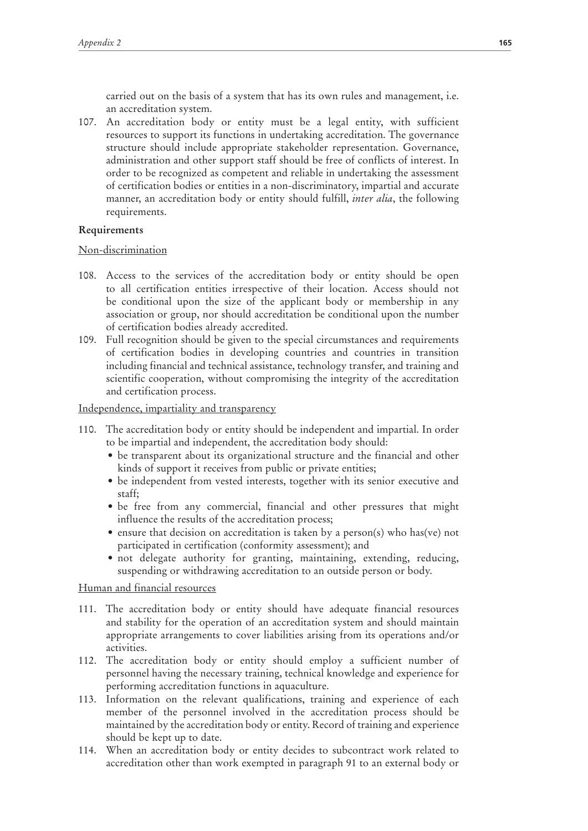carried out on the basis of a system that has its own rules and management, i.e. an accreditation system.

107. An accreditation body or entity must be a legal entity, with sufficient resources to support its functions in undertaking accreditation. The governance structure should include appropriate stakeholder representation. Governance, administration and other support staff should be free of conflicts of interest. In order to be recognized as competent and reliable in undertaking the assessment of certification bodies or entities in a non-discriminatory, impartial and accurate manner, an accreditation body or entity should fulfill, *inter alia*, the following requirements.

## **Requirements**

## Non-discrimination

- 108. Access to the services of the accreditation body or entity should be open to all certification entities irrespective of their location. Access should not be conditional upon the size of the applicant body or membership in any association or group, nor should accreditation be conditional upon the number of certification bodies already accredited.
- 109. Full recognition should be given to the special circumstances and requirements of certification bodies in developing countries and countries in transition including financial and technical assistance, technology transfer, and training and scientific cooperation, without compromising the integrity of the accreditation and certification process.

## Independence, impartiality and transparency

- 110. The accreditation body or entity should be independent and impartial. In order to be impartial and independent, the accreditation body should:
	- be transparent about its organizational structure and the financial and other kinds of support it receives from public or private entities;
	- be independent from vested interests, together with its senior executive and staff;
	- be free from any commercial, financial and other pressures that might influence the results of the accreditation process;
	- ensure that decision on accreditation is taken by a person(s) who has(ve) not participated in certification (conformity assessment); and
	- not delegate authority for granting, maintaining, extending, reducing, suspending or withdrawing accreditation to an outside person or body.

## Human and financial resources

- 111. The accreditation body or entity should have adequate financial resources and stability for the operation of an accreditation system and should maintain appropriate arrangements to cover liabilities arising from its operations and/or activities.
- 112. The accreditation body or entity should employ a sufficient number of personnel having the necessary training, technical knowledge and experience for performing accreditation functions in aquaculture.
- 113. Information on the relevant qualifications, training and experience of each member of the personnel involved in the accreditation process should be maintained by the accreditation body or entity. Record of training and experience should be kept up to date.
- 114. When an accreditation body or entity decides to subcontract work related to accreditation other than work exempted in paragraph 91 to an external body or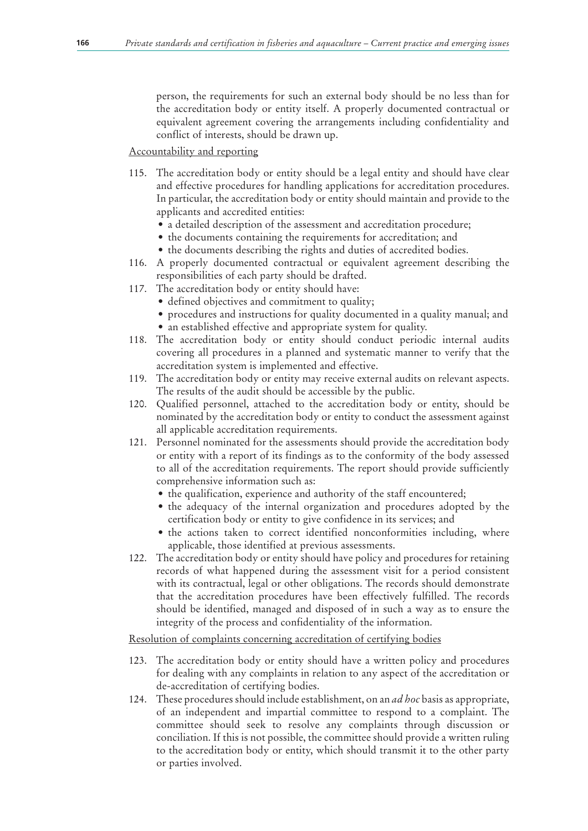person, the requirements for such an external body should be no less than for the accreditation body or entity itself. A properly documented contractual or equivalent agreement covering the arrangements including confidentiality and conflict of interests, should be drawn up.

#### Accountability and reporting

- 115. The accreditation body or entity should be a legal entity and should have clear and effective procedures for handling applications for accreditation procedures. In particular, the accreditation body or entity should maintain and provide to the applicants and accredited entities:
	- a detailed description of the assessment and accreditation procedure;
	- the documents containing the requirements for accreditation; and
	- the documents describing the rights and duties of accredited bodies.
- 116. A properly documented contractual or equivalent agreement describing the responsibilities of each party should be drafted.
- 117. The accreditation body or entity should have:
	- defined objectives and commitment to quality;
	- procedures and instructions for quality documented in a quality manual; and
	- an established effective and appropriate system for quality.
- 118. The accreditation body or entity should conduct periodic internal audits covering all procedures in a planned and systematic manner to verify that the accreditation system is implemented and effective.
- 119. The accreditation body or entity may receive external audits on relevant aspects. The results of the audit should be accessible by the public.
- 120. Qualified personnel, attached to the accreditation body or entity, should be nominated by the accreditation body or entity to conduct the assessment against all applicable accreditation requirements.
- 121. Personnel nominated for the assessments should provide the accreditation body or entity with a report of its findings as to the conformity of the body assessed to all of the accreditation requirements. The report should provide sufficiently comprehensive information such as:
	- the qualification, experience and authority of the staff encountered;
	- the adequacy of the internal organization and procedures adopted by the certification body or entity to give confidence in its services; and
	- the actions taken to correct identified nonconformities including, where applicable, those identified at previous assessments.
- 122. The accreditation body or entity should have policy and procedures for retaining records of what happened during the assessment visit for a period consistent with its contractual, legal or other obligations. The records should demonstrate that the accreditation procedures have been effectively fulfilled. The records should be identified, managed and disposed of in such a way as to ensure the integrity of the process and confidentiality of the information.

Resolution of complaints concerning accreditation of certifying bodies

- 123. The accreditation body or entity should have a written policy and procedures for dealing with any complaints in relation to any aspect of the accreditation or de-accreditation of certifying bodies.
- 124. These procedures should include establishment, on an *ad hoc* basis as appropriate, of an independent and impartial committee to respond to a complaint. The committee should seek to resolve any complaints through discussion or conciliation. If this is not possible, the committee should provide a written ruling to the accreditation body or entity, which should transmit it to the other party or parties involved.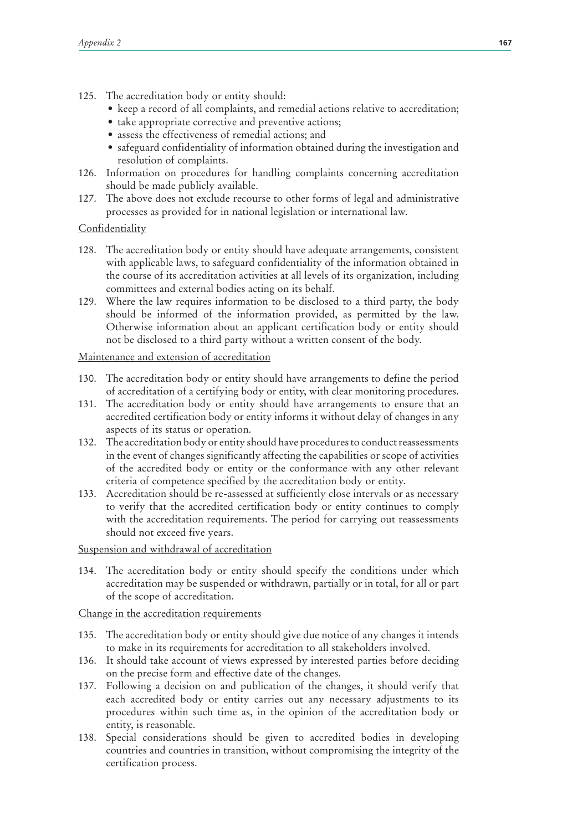- 125. The accreditation body or entity should:
	- keep a record of all complaints, and remedial actions relative to accreditation;
	- take appropriate corrective and preventive actions;
	- assess the effectiveness of remedial actions; and
	- safeguard confidentiality of information obtained during the investigation and resolution of complaints.
- 126. Information on procedures for handling complaints concerning accreditation should be made publicly available.
- 127. The above does not exclude recourse to other forms of legal and administrative processes as provided for in national legislation or international law.

**Confidentiality** 

- 128. The accreditation body or entity should have adequate arrangements, consistent with applicable laws, to safeguard confidentiality of the information obtained in the course of its accreditation activities at all levels of its organization, including committees and external bodies acting on its behalf.
- 129. Where the law requires information to be disclosed to a third party, the body should be informed of the information provided, as permitted by the law. Otherwise information about an applicant certification body or entity should not be disclosed to a third party without a written consent of the body.

# Maintenance and extension of accreditation

- 130. The accreditation body or entity should have arrangements to define the period of accreditation of a certifying body or entity, with clear monitoring procedures.
- 131. The accreditation body or entity should have arrangements to ensure that an accredited certification body or entity informs it without delay of changes in any aspects of its status or operation.
- 132. The accreditation body or entity should have procedures to conduct reassessments in the event of changes significantly affecting the capabilities or scope of activities of the accredited body or entity or the conformance with any other relevant criteria of competence specified by the accreditation body or entity.
- 133. Accreditation should be re-assessed at sufficiently close intervals or as necessary to verify that the accredited certification body or entity continues to comply with the accreditation requirements. The period for carrying out reassessments should not exceed five years.

# Suspension and withdrawal of accreditation

134. The accreditation body or entity should specify the conditions under which accreditation may be suspended or withdrawn, partially or in total, for all or part of the scope of accreditation.

# Change in the accreditation requirements

- 135. The accreditation body or entity should give due notice of any changes it intends to make in its requirements for accreditation to all stakeholders involved.
- 136. It should take account of views expressed by interested parties before deciding on the precise form and effective date of the changes.
- 137. Following a decision on and publication of the changes, it should verify that each accredited body or entity carries out any necessary adjustments to its procedures within such time as, in the opinion of the accreditation body or entity, is reasonable.
- 138. Special considerations should be given to accredited bodies in developing countries and countries in transition, without compromising the integrity of the certification process.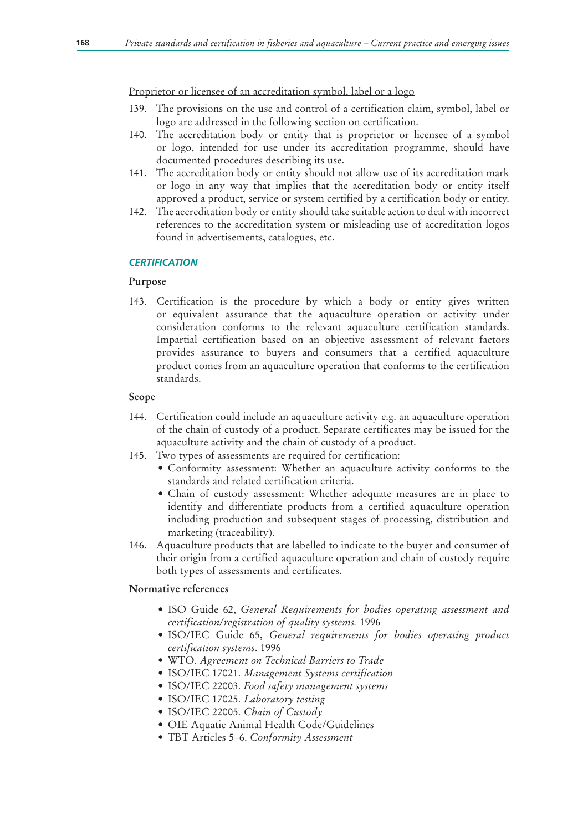#### Proprietor or licensee of an accreditation symbol, label or a logo

- 139. The provisions on the use and control of a certification claim, symbol, label or logo are addressed in the following section on certification.
- 140. The accreditation body or entity that is proprietor or licensee of a symbol or logo, intended for use under its accreditation programme, should have documented procedures describing its use.
- 141. The accreditation body or entity should not allow use of its accreditation mark or logo in any way that implies that the accreditation body or entity itself approved a product, service or system certified by a certification body or entity.
- 142. The accreditation body or entity should take suitable action to deal with incorrect references to the accreditation system or misleading use of accreditation logos found in advertisements, catalogues, etc.

#### *CERTIFICATION*

#### **Purpose**

143. Certification is the procedure by which a body or entity gives written or equivalent assurance that the aquaculture operation or activity under consideration conforms to the relevant aquaculture certification standards. Impartial certification based on an objective assessment of relevant factors provides assurance to buyers and consumers that a certified aquaculture product comes from an aquaculture operation that conforms to the certification standards.

#### **Scope**

- 144. Certification could include an aquaculture activity e.g. an aquaculture operation of the chain of custody of a product. Separate certificates may be issued for the aquaculture activity and the chain of custody of a product.
- 145. Two types of assessments are required for certification:
	- Conformity assessment: Whether an aquaculture activity conforms to the standards and related certification criteria.
	- Chain of custody assessment: Whether adequate measures are in place to identify and differentiate products from a certified aquaculture operation including production and subsequent stages of processing, distribution and marketing (traceability).
- 146. Aquaculture products that are labelled to indicate to the buyer and consumer of their origin from a certified aquaculture operation and chain of custody require both types of assessments and certificates.

#### **Normative references**

- ISO Guide 62, *General Requirements for bodies operating assessment and certification/registration of quality systems.* 1996
- ISO/IEC Guide 65, *General requirements for bodies operating product certification systems*. 1996
- WTO. *Agreement on Technical Barriers to Trade*
- ISO/IEC 17021. *Management Systems certification*
- ISO/IEC 22003. *Food safety management systems*
- ISO/IEC 17025. *Laboratory testing*
- ISO/IEC 22005. *Chain of Custody*
- OIE Aquatic Animal Health Code/Guidelines
- TBT Articles 5–6. *Conformity Assessment*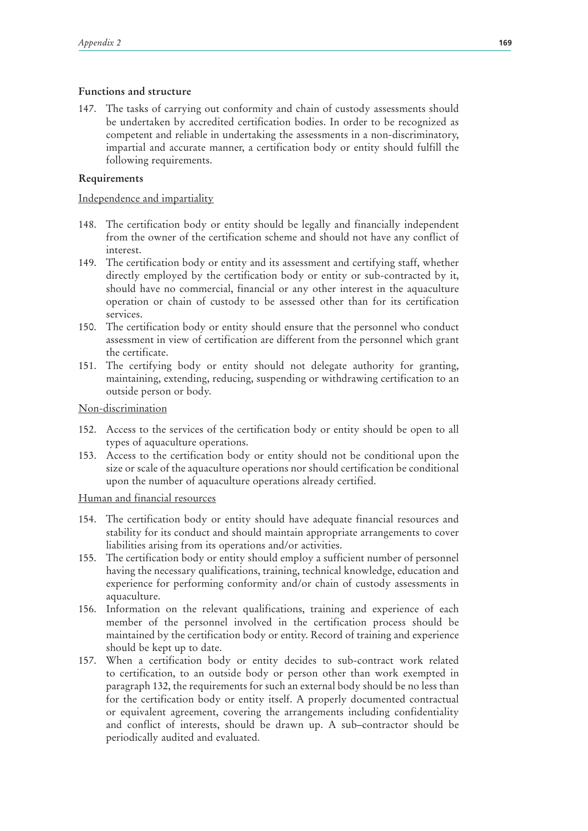## **Functions and structure**

147. The tasks of carrying out conformity and chain of custody assessments should be undertaken by accredited certification bodies. In order to be recognized as competent and reliable in undertaking the assessments in a non-discriminatory, impartial and accurate manner, a certification body or entity should fulfill the following requirements.

## **Requirements**

## Independence and impartiality

- 148. The certification body or entity should be legally and financially independent from the owner of the certification scheme and should not have any conflict of interest.
- 149. The certification body or entity and its assessment and certifying staff, whether directly employed by the certification body or entity or sub-contracted by it, should have no commercial, financial or any other interest in the aquaculture operation or chain of custody to be assessed other than for its certification services.
- 150. The certification body or entity should ensure that the personnel who conduct assessment in view of certification are different from the personnel which grant the certificate.
- 151. The certifying body or entity should not delegate authority for granting, maintaining, extending, reducing, suspending or withdrawing certification to an outside person or body.

Non-discrimination

- 152. Access to the services of the certification body or entity should be open to all types of aquaculture operations.
- 153. Access to the certification body or entity should not be conditional upon the size or scale of the aquaculture operations nor should certification be conditional upon the number of aquaculture operations already certified.

Human and financial resources

- 154. The certification body or entity should have adequate financial resources and stability for its conduct and should maintain appropriate arrangements to cover liabilities arising from its operations and/or activities.
- 155. The certification body or entity should employ a sufficient number of personnel having the necessary qualifications, training, technical knowledge, education and experience for performing conformity and/or chain of custody assessments in aquaculture.
- 156. Information on the relevant qualifications, training and experience of each member of the personnel involved in the certification process should be maintained by the certification body or entity. Record of training and experience should be kept up to date.
- 157. When a certification body or entity decides to sub-contract work related to certification, to an outside body or person other than work exempted in paragraph 132, the requirements for such an external body should be no less than for the certification body or entity itself. A properly documented contractual or equivalent agreement, covering the arrangements including confidentiality and conflict of interests, should be drawn up. A sub–contractor should be periodically audited and evaluated.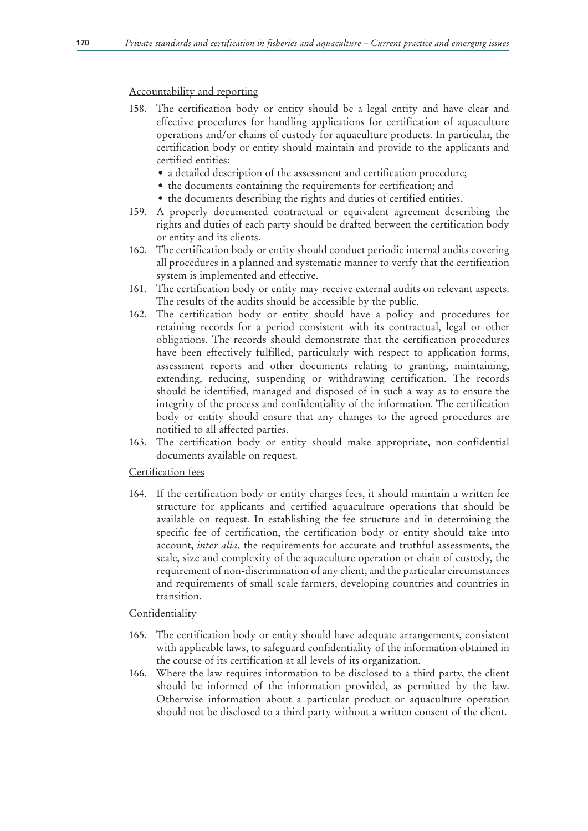## Accountability and reporting

- 158. The certification body or entity should be a legal entity and have clear and effective procedures for handling applications for certification of aquaculture operations and/or chains of custody for aquaculture products. In particular, the certification body or entity should maintain and provide to the applicants and certified entities:
	- a detailed description of the assessment and certification procedure;
	- the documents containing the requirements for certification; and
	- the documents describing the rights and duties of certified entities.
- 159. A properly documented contractual or equivalent agreement describing the rights and duties of each party should be drafted between the certification body or entity and its clients.
- 160. The certification body or entity should conduct periodic internal audits covering all procedures in a planned and systematic manner to verify that the certification system is implemented and effective.
- 161. The certification body or entity may receive external audits on relevant aspects. The results of the audits should be accessible by the public.
- 162. The certification body or entity should have a policy and procedures for retaining records for a period consistent with its contractual, legal or other obligations. The records should demonstrate that the certification procedures have been effectively fulfilled, particularly with respect to application forms, assessment reports and other documents relating to granting, maintaining, extending, reducing, suspending or withdrawing certification. The records should be identified, managed and disposed of in such a way as to ensure the integrity of the process and confidentiality of the information. The certification body or entity should ensure that any changes to the agreed procedures are notified to all affected parties.
- 163. The certification body or entity should make appropriate, non-confidential documents available on request.

#### Certification fees

164. If the certification body or entity charges fees, it should maintain a written fee structure for applicants and certified aquaculture operations that should be available on request. In establishing the fee structure and in determining the specific fee of certification, the certification body or entity should take into account, *inter alia*, the requirements for accurate and truthful assessments, the scale, size and complexity of the aquaculture operation or chain of custody, the requirement of non-discrimination of any client, and the particular circumstances and requirements of small-scale farmers, developing countries and countries in transition.

## **Confidentiality**

- 165. The certification body or entity should have adequate arrangements, consistent with applicable laws, to safeguard confidentiality of the information obtained in the course of its certification at all levels of its organization.
- 166. Where the law requires information to be disclosed to a third party, the client should be informed of the information provided, as permitted by the law. Otherwise information about a particular product or aquaculture operation should not be disclosed to a third party without a written consent of the client.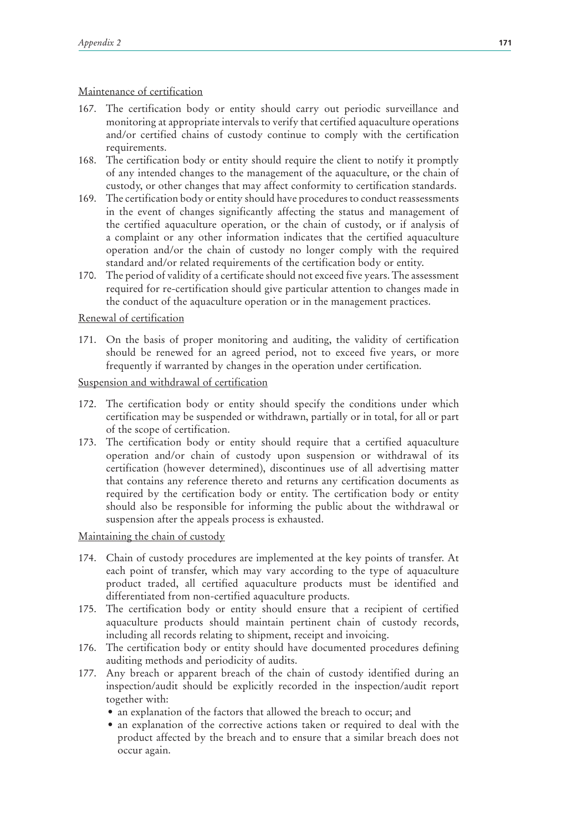# Maintenance of certification

- 167. The certification body or entity should carry out periodic surveillance and monitoring at appropriate intervals to verify that certified aquaculture operations and/or certified chains of custody continue to comply with the certification requirements.
- 168. The certification body or entity should require the client to notify it promptly of any intended changes to the management of the aquaculture, or the chain of custody, or other changes that may affect conformity to certification standards.
- 169. The certification body or entity should have procedures to conduct reassessments in the event of changes significantly affecting the status and management of the certified aquaculture operation, or the chain of custody, or if analysis of a complaint or any other information indicates that the certified aquaculture operation and/or the chain of custody no longer comply with the required standard and/or related requirements of the certification body or entity.
- 170. The period of validity of a certificate should not exceed five years. The assessment required for re-certification should give particular attention to changes made in the conduct of the aquaculture operation or in the management practices.

# Renewal of certification

171. On the basis of proper monitoring and auditing, the validity of certification should be renewed for an agreed period, not to exceed five years, or more frequently if warranted by changes in the operation under certification.

## Suspension and withdrawal of certification

- 172. The certification body or entity should specify the conditions under which certification may be suspended or withdrawn, partially or in total, for all or part of the scope of certification.
- 173. The certification body or entity should require that a certified aquaculture operation and/or chain of custody upon suspension or withdrawal of its certification (however determined), discontinues use of all advertising matter that contains any reference thereto and returns any certification documents as required by the certification body or entity. The certification body or entity should also be responsible for informing the public about the withdrawal or suspension after the appeals process is exhausted.

# Maintaining the chain of custody

- 174. Chain of custody procedures are implemented at the key points of transfer. At each point of transfer, which may vary according to the type of aquaculture product traded, all certified aquaculture products must be identified and differentiated from non-certified aquaculture products.
- 175. The certification body or entity should ensure that a recipient of certified aquaculture products should maintain pertinent chain of custody records, including all records relating to shipment, receipt and invoicing.
- 176. The certification body or entity should have documented procedures defining auditing methods and periodicity of audits.
- 177. Any breach or apparent breach of the chain of custody identified during an inspection/audit should be explicitly recorded in the inspection/audit report together with:
	- an explanation of the factors that allowed the breach to occur; and
	- an explanation of the corrective actions taken or required to deal with the product affected by the breach and to ensure that a similar breach does not occur again.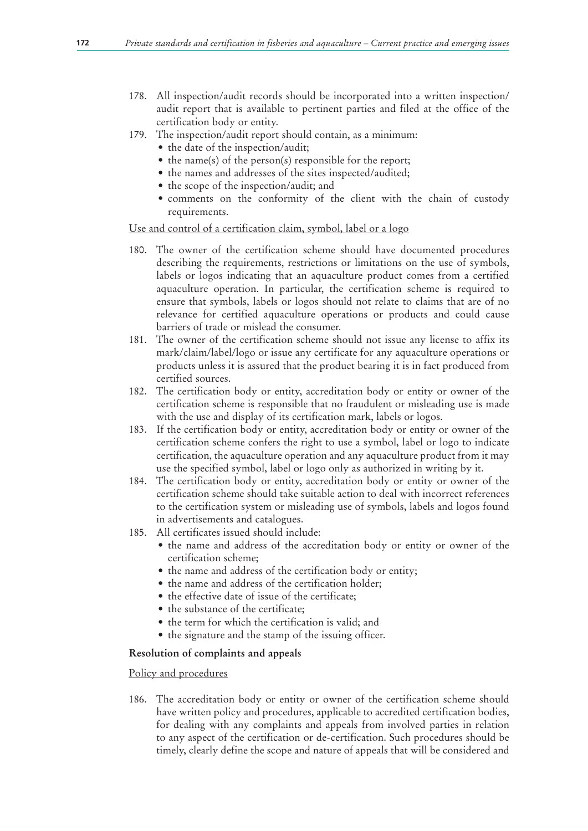- 178. All inspection/audit records should be incorporated into a written inspection/ audit report that is available to pertinent parties and filed at the office of the certification body or entity.
- 179. The inspection/audit report should contain, as a minimum:
	- the date of the inspection/audit;
	- the name(s) of the person(s) responsible for the report;
	- the names and addresses of the sites inspected/audited;
	- the scope of the inspection/audit; and
	- comments on the conformity of the client with the chain of custody requirements.

Use and control of a certification claim, symbol, label or a logo

- 180. The owner of the certification scheme should have documented procedures describing the requirements, restrictions or limitations on the use of symbols, labels or logos indicating that an aquaculture product comes from a certified aquaculture operation. In particular, the certification scheme is required to ensure that symbols, labels or logos should not relate to claims that are of no relevance for certified aquaculture operations or products and could cause barriers of trade or mislead the consumer.
- 181. The owner of the certification scheme should not issue any license to affix its mark/claim/label/logo or issue any certificate for any aquaculture operations or products unless it is assured that the product bearing it is in fact produced from certified sources.
- 182. The certification body or entity, accreditation body or entity or owner of the certification scheme is responsible that no fraudulent or misleading use is made with the use and display of its certification mark, labels or logos.
- 183. If the certification body or entity, accreditation body or entity or owner of the certification scheme confers the right to use a symbol, label or logo to indicate certification, the aquaculture operation and any aquaculture product from it may use the specified symbol, label or logo only as authorized in writing by it.
- 184. The certification body or entity, accreditation body or entity or owner of the certification scheme should take suitable action to deal with incorrect references to the certification system or misleading use of symbols, labels and logos found in advertisements and catalogues.
- 185. All certificates issued should include:
	- the name and address of the accreditation body or entity or owner of the certification scheme;
	- the name and address of the certification body or entity;
	- the name and address of the certification holder;
	- the effective date of issue of the certificate;
	- the substance of the certificate;
	- the term for which the certification is valid; and
	- the signature and the stamp of the issuing officer.

## **Resolution of complaints and appeals**

## Policy and procedures

186. The accreditation body or entity or owner of the certification scheme should have written policy and procedures, applicable to accredited certification bodies, for dealing with any complaints and appeals from involved parties in relation to any aspect of the certification or de-certification. Such procedures should be timely, clearly define the scope and nature of appeals that will be considered and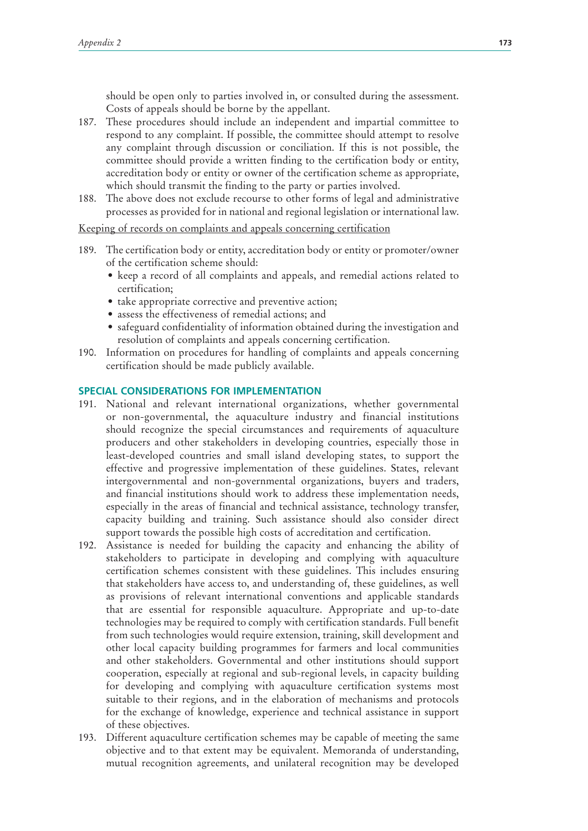should be open only to parties involved in, or consulted during the assessment. Costs of appeals should be borne by the appellant.

- 187. These procedures should include an independent and impartial committee to respond to any complaint. If possible, the committee should attempt to resolve any complaint through discussion or conciliation. If this is not possible, the committee should provide a written finding to the certification body or entity, accreditation body or entity or owner of the certification scheme as appropriate, which should transmit the finding to the party or parties involved.
- 188. The above does not exclude recourse to other forms of legal and administrative processes as provided for in national and regional legislation or international law.

Keeping of records on complaints and appeals concerning certification

- 189. The certification body or entity, accreditation body or entity or promoter/owner of the certification scheme should:
	- keep a record of all complaints and appeals, and remedial actions related to certification;
	- take appropriate corrective and preventive action;
	- assess the effectiveness of remedial actions; and
	- safeguard confidentiality of information obtained during the investigation and resolution of complaints and appeals concerning certification.
- 190. Information on procedures for handling of complaints and appeals concerning certification should be made publicly available.

#### **SPECIAL CONSIDERATIONS FOR IMPLEMENTATION**

- 191. National and relevant international organizations, whether governmental or non-governmental, the aquaculture industry and financial institutions should recognize the special circumstances and requirements of aquaculture producers and other stakeholders in developing countries, especially those in least-developed countries and small island developing states, to support the effective and progressive implementation of these guidelines. States, relevant intergovernmental and non-governmental organizations, buyers and traders, and financial institutions should work to address these implementation needs, especially in the areas of financial and technical assistance, technology transfer, capacity building and training. Such assistance should also consider direct support towards the possible high costs of accreditation and certification.
- 192. Assistance is needed for building the capacity and enhancing the ability of stakeholders to participate in developing and complying with aquaculture certification schemes consistent with these guidelines. This includes ensuring that stakeholders have access to, and understanding of, these guidelines, as well as provisions of relevant international conventions and applicable standards that are essential for responsible aquaculture. Appropriate and up-to-date technologies may be required to comply with certification standards. Full benefit from such technologies would require extension, training, skill development and other local capacity building programmes for farmers and local communities and other stakeholders. Governmental and other institutions should support cooperation, especially at regional and sub-regional levels, in capacity building for developing and complying with aquaculture certification systems most suitable to their regions, and in the elaboration of mechanisms and protocols for the exchange of knowledge, experience and technical assistance in support of these objectives.
- 193. Different aquaculture certification schemes may be capable of meeting the same objective and to that extent may be equivalent. Memoranda of understanding, mutual recognition agreements, and unilateral recognition may be developed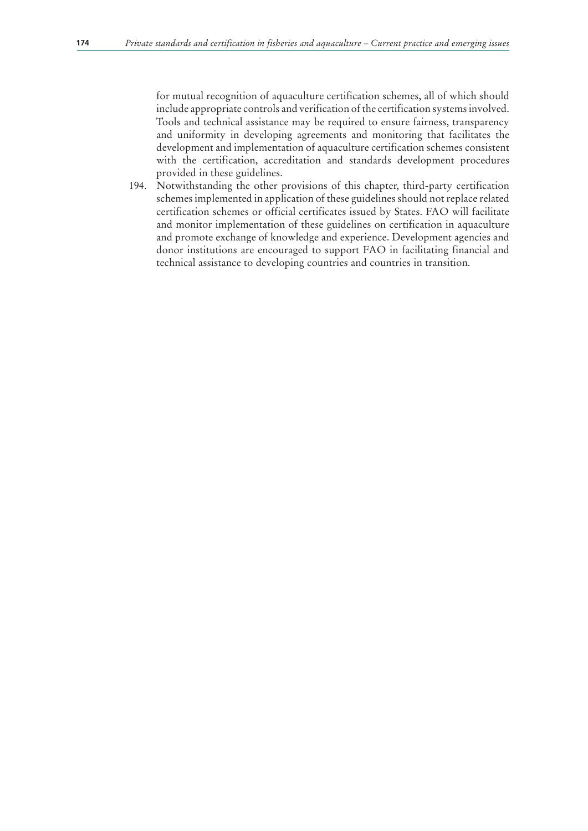for mutual recognition of aquaculture certification schemes, all of which should include appropriate controls and verification of the certification systems involved. Tools and technical assistance may be required to ensure fairness, transparency and uniformity in developing agreements and monitoring that facilitates the development and implementation of aquaculture certification schemes consistent with the certification, accreditation and standards development procedures provided in these guidelines.

194. Notwithstanding the other provisions of this chapter, third-party certification schemes implemented in application of these guidelines should not replace related certification schemes or official certificates issued by States. FAO will facilitate and monitor implementation of these guidelines on certification in aquaculture and promote exchange of knowledge and experience. Development agencies and donor institutions are encouraged to support FAO in facilitating financial and technical assistance to developing countries and countries in transition.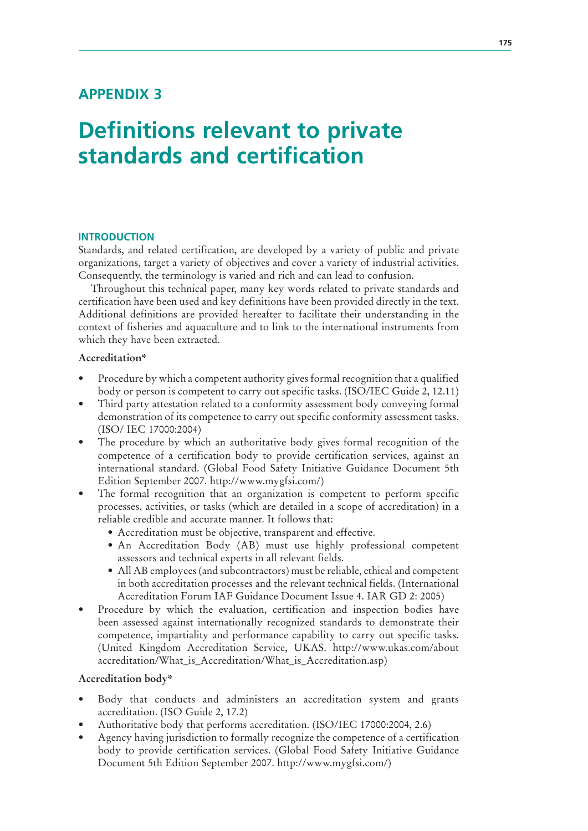# **APPENDIX 3**

# **Definitions relevant to private standards and certification**

#### **INTRODUCTION**

Standards, and related certification, are developed by a variety of public and private organizations, target a variety of objectives and cover a variety of industrial activities. Consequently, the terminology is varied and rich and can lead to confusion.

Throughout this technical paper, many key words related to private standards and certification have been used and key definitions have been provided directly in the text. Additional definitions are provided hereafter to facilitate their understanding in the context of fisheries and aquaculture and to link to the international instruments from which they have been extracted.

#### **Accreditation\***

- Procedure by which a competent authority gives formal recognition that a qualified body or person is competent to carry out specific tasks. (ISO/IEC Guide 2, 12.11)
- Third party attestation related to a conformity assessment body conveying formal demonstration of its competence to carry out specific conformity assessment tasks. (ISO/ IEC 17000:2004)
- The procedure by which an authoritative body gives formal recognition of the competence of a certification body to provide certification services, against an international standard. (Global Food Safety Initiative Guidance Document 5th Edition September 2007. http://www.mygfsi.com/)
- The formal recognition that an organization is competent to perform specific processes, activities, or tasks (which are detailed in a scope of accreditation) in a reliable credible and accurate manner. It follows that:
	- Accreditation must be objective, transparent and effective.
	- An Accreditation Body (AB) must use highly professional competent assessors and technical experts in all relevant fields.
	- All AB employees (and subcontractors) must be reliable, ethical and competent in both accreditation processes and the relevant technical fields. (International Accreditation Forum IAF Guidance Document Issue 4. IAR GD 2: 2005)
- Procedure by which the evaluation, certification and inspection bodies have been assessed against internationally recognized standards to demonstrate their competence, impartiality and performance capability to carry out specific tasks. (United Kingdom Accreditation Service, UKAS. http://www.ukas.com/about accreditation/What\_is\_Accreditation/What\_is\_Accreditation.asp)

## **Accreditation body\***

- Body that conducts and administers an accreditation system and grants accreditation. (ISO Guide 2, 17.2)
- Authoritative body that performs accreditation. (ISO/IEC 17000:2004, 2.6)
- Agency having jurisdiction to formally recognize the competence of a certification body to provide certification services. (Global Food Safety Initiative Guidance Document 5th Edition September 2007. http://www.mygfsi.com/)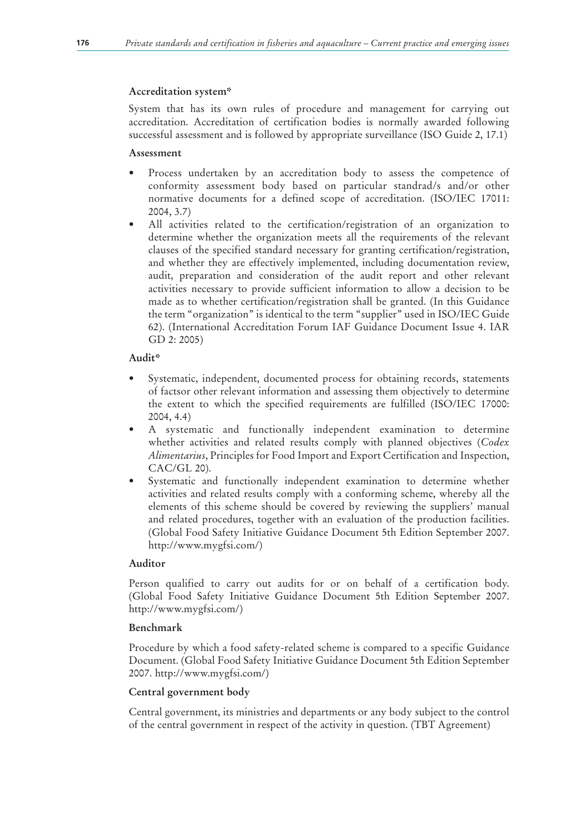# **Accreditation system\***

System that has its own rules of procedure and management for carrying out accreditation. Accreditation of certification bodies is normally awarded following successful assessment and is followed by appropriate surveillance (ISO Guide 2, 17.1)

## **Assessment**

- Process undertaken by an accreditation body to assess the competence of conformity assessment body based on particular standrad/s and/or other normative documents for a defined scope of accreditation. (ISO/IEC 17011: 2004, 3.7)
- All activities related to the certification/registration of an organization to determine whether the organization meets all the requirements of the relevant clauses of the specified standard necessary for granting certification/registration, and whether they are effectively implemented, including documentation review, audit, preparation and consideration of the audit report and other relevant activities necessary to provide sufficient information to allow a decision to be made as to whether certification/registration shall be granted. (In this Guidance the term "organization" is identical to the term "supplier" used in ISO/IEC Guide 62). (International Accreditation Forum IAF Guidance Document Issue 4. IAR GD 2: 2005)

## **Audit\***

- Systematic, independent, documented process for obtaining records, statements of factsor other relevant information and assessing them objectively to determine the extent to which the specified requirements are fulfilled (ISO/IEC 17000: 2004, 4.4)
- A systematic and functionally independent examination to determine whether activities and related results comply with planned objectives (*Codex Alimentarius*, Principles for Food Import and Export Certification and Inspection, CAC/GL 20).
- Systematic and functionally independent examination to determine whether activities and related results comply with a conforming scheme, whereby all the elements of this scheme should be covered by reviewing the suppliers' manual and related procedures, together with an evaluation of the production facilities. (Global Food Safety Initiative Guidance Document 5th Edition September 2007. http://www.mygfsi.com/)

## **Auditor**

Person qualified to carry out audits for or on behalf of a certification body. (Global Food Safety Initiative Guidance Document 5th Edition September 2007. http://www.mygfsi.com/)

## **Benchmark**

Procedure by which a food safety-related scheme is compared to a specific Guidance Document. (Global Food Safety Initiative Guidance Document 5th Edition September 2007. http://www.mygfsi.com/)

# **Central government body**

Central government, its ministries and departments or any body subject to the control of the central government in respect of the activity in question. (TBT Agreement)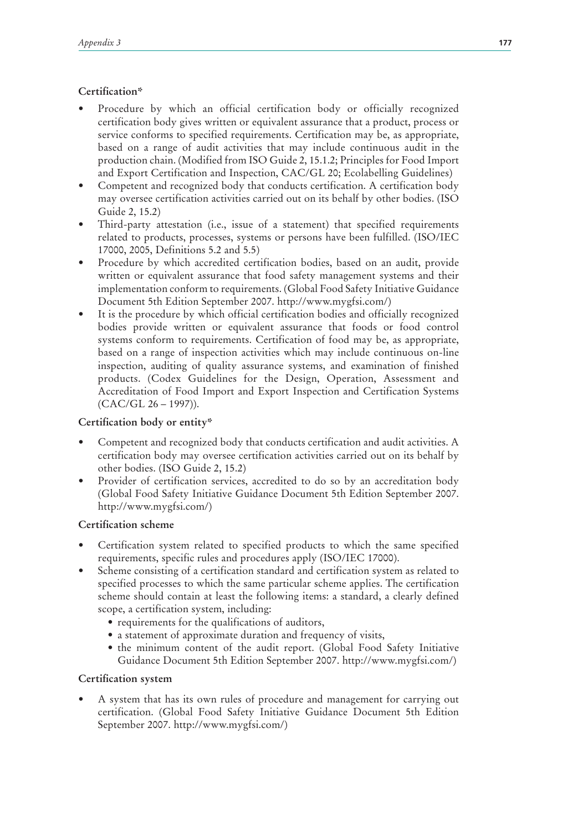# **Certification\***

- Procedure by which an official certification body or officially recognized certification body gives written or equivalent assurance that a product, process or service conforms to specified requirements. Certification may be, as appropriate, based on a range of audit activities that may include continuous audit in the production chain. (Modified from ISO Guide 2, 15.1.2; Principles for Food Import and Export Certification and Inspection, CAC/GL 20; Ecolabelling Guidelines)
- Competent and recognized body that conducts certification. A certification body may oversee certification activities carried out on its behalf by other bodies. (ISO Guide 2, 15.2)
- Third-party attestation (i.e., issue of a statement) that specified requirements related to products, processes, systems or persons have been fulfilled. (ISO/IEC 17000, 2005, Definitions 5.2 and 5.5)
- Procedure by which accredited certification bodies, based on an audit, provide written or equivalent assurance that food safety management systems and their implementation conform to requirements. (Global Food Safety Initiative Guidance Document 5th Edition September 2007. http://www.mygfsi.com/)
- It is the procedure by which official certification bodies and officially recognized bodies provide written or equivalent assurance that foods or food control systems conform to requirements. Certification of food may be, as appropriate, based on a range of inspection activities which may include continuous on-line inspection, auditing of quality assurance systems, and examination of finished products. (Codex Guidelines for the Design, Operation, Assessment and Accreditation of Food Import and Export Inspection and Certification Systems (CAC/GL 26 – 1997)).

# **Certification body or entity\***

- Competent and recognized body that conducts certification and audit activities. A certification body may oversee certification activities carried out on its behalf by other bodies. (ISO Guide 2, 15.2)
- Provider of certification services, accredited to do so by an accreditation body (Global Food Safety Initiative Guidance Document 5th Edition September 2007. http://www.mygfsi.com/)

# **Certification scheme**

- Certification system related to specified products to which the same specified requirements, specific rules and procedures apply (ISO/IEC 17000).
- Scheme consisting of a certification standard and certification system as related to specified processes to which the same particular scheme applies. The certification scheme should contain at least the following items: a standard, a clearly defined scope, a certification system, including:
	- requirements for the qualifications of auditors,
	- a statement of approximate duration and frequency of visits,
	- the minimum content of the audit report. (Global Food Safety Initiative Guidance Document 5th Edition September 2007. http://www.mygfsi.com/)

# **Certification system**

• A system that has its own rules of procedure and management for carrying out certification. (Global Food Safety Initiative Guidance Document 5th Edition September 2007. http://www.mygfsi.com/)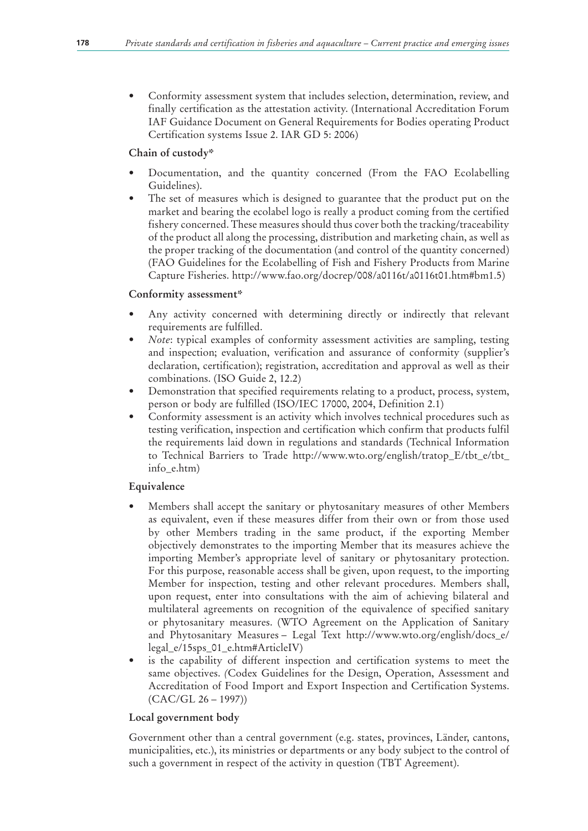• Conformity assessment system that includes selection, determination, review, and finally certification as the attestation activity. (International Accreditation Forum IAF Guidance Document on General Requirements for Bodies operating Product Certification systems Issue 2. IAR GD 5: 2006)

# **Chain of custody\***

- Documentation, and the quantity concerned (From the FAO Ecolabelling Guidelines).
- The set of measures which is designed to guarantee that the product put on the market and bearing the ecolabel logo is really a product coming from the certified fishery concerned. These measures should thus cover both the tracking/traceability of the product all along the processing, distribution and marketing chain, as well as the proper tracking of the documentation (and control of the quantity concerned) (FAO Guidelines for the Ecolabelling of Fish and Fishery Products from Marine Capture Fisheries. http://www.fao.org/docrep/008/a0116t/a0116t01.htm#bm1.5)

# **Conformity assessment\***

- Any activity concerned with determining directly or indirectly that relevant requirements are fulfilled.
- *Note*: typical examples of conformity assessment activities are sampling, testing and inspection; evaluation, verification and assurance of conformity (supplier's declaration, certification); registration, accreditation and approval as well as their combinations. (ISO Guide 2, 12.2)
- Demonstration that specified requirements relating to a product, process, system, person or body are fulfilled (ISO/IEC 17000, 2004, Definition 2.1)
- Conformity assessment is an activity which involves technical procedures such as testing verification, inspection and certification which confirm that products fulfil the requirements laid down in regulations and standards (Technical Information to Technical Barriers to Trade http://www.wto.org/english/tratop\_E/tbt\_e/tbt\_ info\_e.htm)

# **Equivalence**

- Members shall accept the sanitary or phytosanitary measures of other Members as equivalent, even if these measures differ from their own or from those used by other Members trading in the same product, if the exporting Member objectively demonstrates to the importing Member that its measures achieve the importing Member's appropriate level of sanitary or phytosanitary protection. For this purpose, reasonable access shall be given, upon request, to the importing Member for inspection, testing and other relevant procedures. Members shall, upon request, enter into consultations with the aim of achieving bilateral and multilateral agreements on recognition of the equivalence of specified sanitary or phytosanitary measures. (WTO Agreement on the Application of Sanitary and Phytosanitary Measures – Legal Text http://www.wto.org/english/docs\_e/ legal\_e/15sps\_01\_e.htm#ArticleIV)
- is the capability of different inspection and certification systems to meet the same objectives. *(*Codex Guidelines for the Design, Operation, Assessment and Accreditation of Food Import and Export Inspection and Certification Systems.  $(CAC/GL 26 - 1997))$

# **Local government body**

Government other than a central government (e.g. states, provinces, Länder, cantons, municipalities, etc.), its ministries or departments or any body subject to the control of such a government in respect of the activity in question (TBT Agreement).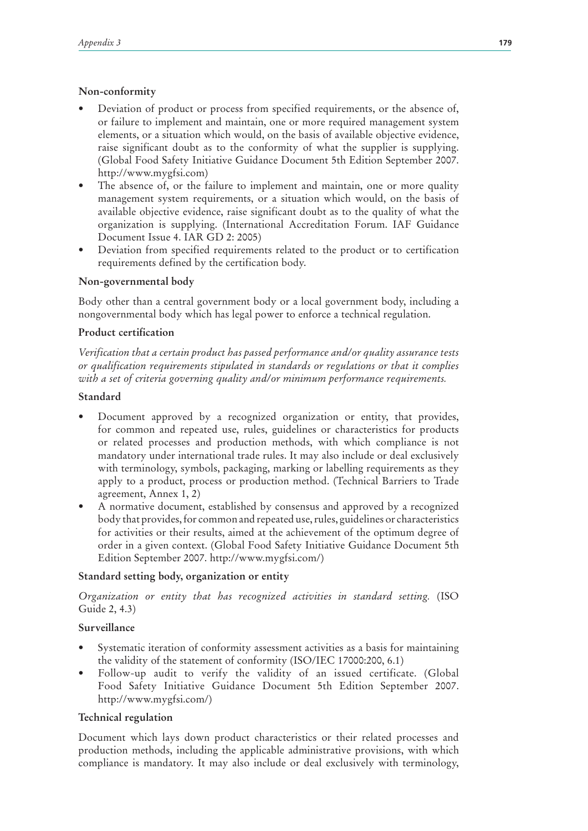# **Non-conformity**

- Deviation of product or process from specified requirements, or the absence of, or failure to implement and maintain, one or more required management system elements, or a situation which would, on the basis of available objective evidence, raise significant doubt as to the conformity of what the supplier is supplying. (Global Food Safety Initiative Guidance Document 5th Edition September 2007. http://www.mygfsi.com)
- The absence of, or the failure to implement and maintain, one or more quality management system requirements, or a situation which would, on the basis of available objective evidence, raise significant doubt as to the quality of what the organization is supplying. (International Accreditation Forum. IAF Guidance Document Issue 4. IAR GD 2: 2005)
- Deviation from specified requirements related to the product or to certification requirements defined by the certification body.

# **Non-governmental body**

Body other than a central government body or a local government body, including a nongovernmental body which has legal power to enforce a technical regulation.

# **Product certification**

*Verification that a certain product has passed performance and/or quality assurance tests or qualification requirements stipulated in standards or regulations or that it complies with a set of criteria governing quality and/or minimum performance requirements.*

# **Standard**

- Document approved by a recognized organization or entity, that provides, for common and repeated use, rules, guidelines or characteristics for products or related processes and production methods, with which compliance is not mandatory under international trade rules. It may also include or deal exclusively with terminology, symbols, packaging, marking or labelling requirements as they apply to a product, process or production method. (Technical Barriers to Trade agreement, Annex 1, 2)
- A normative document, established by consensus and approved by a recognized body that provides, for common and repeated use, rules, guidelines or characteristics for activities or their results, aimed at the achievement of the optimum degree of order in a given context. (Global Food Safety Initiative Guidance Document 5th Edition September 2007. http://www.mygfsi.com/)

# **Standard setting body, organization or entity**

*Organization or entity that has recognized activities in standard setting.* (ISO Guide 2, 4.3)

# **Surveillance**

- Systematic iteration of conformity assessment activities as a basis for maintaining the validity of the statement of conformity (ISO/IEC 17000:200, 6.1)
- Follow-up audit to verify the validity of an issued certificate. (Global Food Safety Initiative Guidance Document 5th Edition September 2007. http://www.mygfsi.com/)

# **Technical regulation**

Document which lays down product characteristics or their related processes and production methods, including the applicable administrative provisions, with which compliance is mandatory. It may also include or deal exclusively with terminology,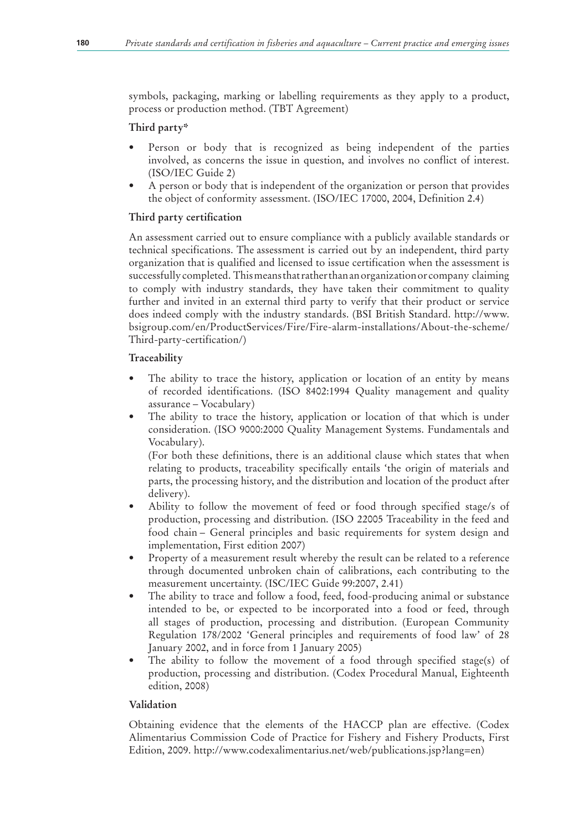symbols, packaging, marking or labelling requirements as they apply to a product, process or production method. (TBT Agreement)

# **Third party\***

- Person or body that is recognized as being independent of the parties involved, as concerns the issue in question, and involves no conflict of interest. (ISO/IEC Guide 2)
- A person or body that is independent of the organization or person that provides the object of conformity assessment. (ISO/IEC 17000, 2004, Definition 2.4)

# **Third party certification**

An assessment carried out to ensure compliance with a publicly available standards or technical specifications. The assessment is carried out by an independent, third party organization that is qualified and licensed to issue certification when the assessment is successfully completed. This means that rather than an organization or company claiming to comply with industry standards, they have taken their commitment to quality further and invited in an external third party to verify that their product or service does indeed comply with the industry standards. (BSI British Standard. http://www. bsigroup.com/en/ProductServices/Fire/Fire-alarm-installations/About-the-scheme/ Third-party-certification/)

# **Traceability**

- The ability to trace the history, application or location of an entity by means of recorded identifications. (ISO 8402:1994 Quality management and quality assurance – Vocabulary)
- The ability to trace the history, application or location of that which is under consideration. (ISO 9000:2000 Quality Management Systems. Fundamentals and Vocabulary).

(For both these definitions, there is an additional clause which states that when relating to products, traceability specifically entails 'the origin of materials and parts, the processing history, and the distribution and location of the product after delivery).

- Ability to follow the movement of feed or food through specified stage/s of production, processing and distribution. (ISO 22005 Traceability in the feed and food chain – General principles and basic requirements for system design and implementation, First edition 2007)
- Property of a measurement result whereby the result can be related to a reference through documented unbroken chain of calibrations, each contributing to the measurement uncertainty. (ISC/IEC Guide 99:2007, 2.41)
- The ability to trace and follow a food, feed, food-producing animal or substance intended to be, or expected to be incorporated into a food or feed, through all stages of production, processing and distribution. (European Community Regulation 178/2002 'General principles and requirements of food law' of 28 January 2002, and in force from 1 January 2005)
- The ability to follow the movement of a food through specified stage(s) of production, processing and distribution. (Codex Procedural Manual, Eighteenth edition, 2008)

# **Validation**

Obtaining evidence that the elements of the HACCP plan are effective. (Codex Alimentarius Commission Code of Practice for Fishery and Fishery Products, First Edition, 2009. http://www.codexalimentarius.net/web/publications.jsp?lang=en)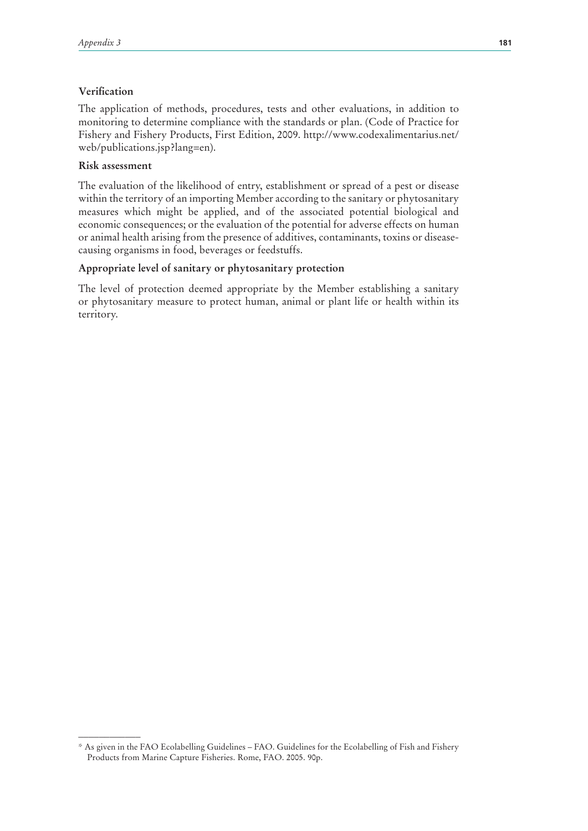## **Verification**

The application of methods, procedures, tests and other evaluations, in addition to monitoring to determine compliance with the standards or plan. (Code of Practice for Fishery and Fishery Products, First Edition, 2009. http://www.codexalimentarius.net/ web/publications.jsp?lang=en).

## **Risk assessment**

*\_\_\_\_\_\_\_\_\_\_\_\_*

The evaluation of the likelihood of entry, establishment or spread of a pest or disease within the territory of an importing Member according to the sanitary or phytosanitary measures which might be applied, and of the associated potential biological and economic consequences; or the evaluation of the potential for adverse effects on human or animal health arising from the presence of additives, contaminants, toxins or diseasecausing organisms in food, beverages or feedstuffs.

## **Appropriate level of sanitary or phytosanitary protection**

The level of protection deemed appropriate by the Member establishing a sanitary or phytosanitary measure to protect human, animal or plant life or health within its territory.

<sup>\*</sup> As given in the FAO Ecolabelling Guidelines – FAO. Guidelines for the Ecolabelling of Fish and Fishery Products from Marine Capture Fisheries. Rome, FAO. 2005. 90p.